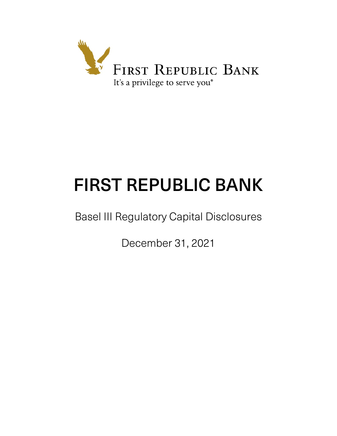

# FIRST REPUBLIC BANK

Basel III Regulatory Capital Disclosures

December 31, 2021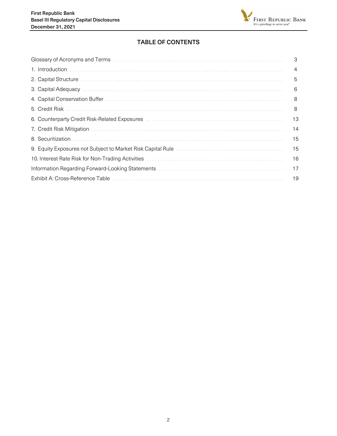

# TABLE OF CONTENTS

| 3              |
|----------------|
| $\overline{4}$ |
| 5              |
| 6              |
| 8              |
| 8              |
| 13             |
| 14             |
| 15             |
| 15             |
| 16             |
| 17             |
| 19             |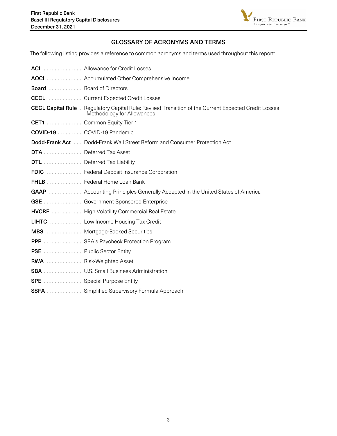

## GLOSSARY OF ACRONYMS AND TERMS

<span id="page-2-0"></span>The following listing provides a reference to common acronyms and terms used throughout this report:

|                                 | <b>ACL</b> Allowance for Credit Losses                                                                                                   |
|---------------------------------|------------------------------------------------------------------------------------------------------------------------------------------|
|                                 | <b>AOCI</b> Accumulated Other Comprehensive Income                                                                                       |
| <b>Board</b> Board of Directors |                                                                                                                                          |
|                                 | <b>CECL</b> Current Expected Credit Losses                                                                                               |
|                                 | <b>CECL Capital Rule</b> Begulatory Capital Rule: Revised Transition of the Current Expected Credit Losses<br>Methodology for Allowances |
|                                 | CET1 Common Equity Tier 1                                                                                                                |
| COVID-19 COVID-19 Pandemic      |                                                                                                                                          |
|                                 | <b>Dodd-Frank Act</b> Dodd-Frank Wall Street Reform and Consumer Protection Act                                                          |
| DTA Deferred Tax Asset          |                                                                                                                                          |
|                                 | DTL Deferred Tax Liability                                                                                                               |
|                                 | FDIC  Federal Deposit Insurance Corporation                                                                                              |
|                                 | FHLB Federal Home Loan Bank                                                                                                              |
|                                 | GAAP  Accounting Principles Generally Accepted in the United States of America                                                           |
|                                 | <b>GSE</b> Government-Sponsored Enterprise                                                                                               |
|                                 | <b>HVCRE</b> High Volatility Commercial Real Estate                                                                                      |
|                                 | <b>LIHTC</b> Low Income Housing Tax Credit                                                                                               |
|                                 | <b>MBS</b> Mortgage-Backed Securities                                                                                                    |
|                                 | PPP  SBA's Paycheck Protection Program                                                                                                   |
| PSE  Public Sector Entity       |                                                                                                                                          |
| <b>RWA</b> Risk-Weighted Asset  |                                                                                                                                          |
|                                 | <b>SBA</b> U.S. Small Business Administration                                                                                            |
|                                 | <b>SPE</b> Special Purpose Entity                                                                                                        |
|                                 | <b>SSFA</b> Simplified Supervisory Formula Approach                                                                                      |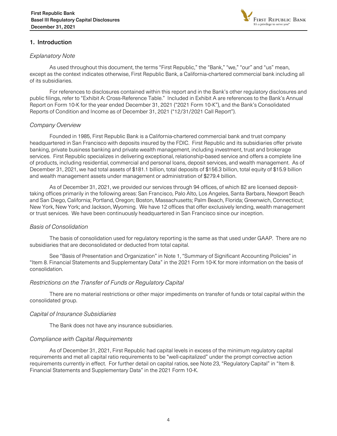

## <span id="page-3-0"></span>1. Introduction

## Explanatory Note

As used throughout this document, the terms "First Republic," the "Bank," "we," "our" and "us" mean, except as the context indicates otherwise, First Republic Bank, a California-chartered commercial bank including all of its subsidiaries.

 For references to disclosures contained within this report and in the Bank's other regulatory disclosures and public filings, refer to "Exhibit A: Cross-Reference Table." Included in Exhibit A are references to the Bank's Annual Report on Form 10-K for the year ended December 31, 2021 ("2021 Form 10-K"), and the Bank's Consolidated Reports of Condition and Income as of December 31, 2021 ("12/31/2021 Call Report").

## Company Overview

Founded in 1985, First Republic Bank is a California-chartered commercial bank and trust company headquartered in San Francisco with deposits insured by the FDIC. First Republic and its subsidiaries offer private banking, private business banking and private wealth management, including investment, trust and brokerage services. First Republic specializes in delivering exceptional, relationship-based service and offers a complete line of products, including residential, commercial and personal loans, deposit services, and wealth management. As of December 31, 2021, we had total assets of \$181.1 billion, total deposits of \$156.3 billion, total equity of \$15.9 billion and wealth management assets under management or administration of \$279.4 billion.

As of December 31, 2021, we provided our services through 94 offices, of which 82 are licensed deposittaking offices primarily in the following areas: San Francisco, Palo Alto, Los Angeles, Santa Barbara, Newport Beach and San Diego, California; Portland, Oregon; Boston, Massachusetts; Palm Beach, Florida; Greenwich, Connecticut; New York, New York; and Jackson, Wyoming. We have 12 offices that offer exclusively lending, wealth management or trust services. We have been continuously headquartered in San Francisco since our inception.

## Basis of Consolidation

The basis of consolidation used for regulatory reporting is the same as that used under GAAP. There are no subsidiaries that are deconsolidated or deducted from total capital.

 See "Basis of Presentation and Organization" in Note 1, "Summary of Significant Accounting Policies" in "Item 8. Financial Statements and Supplementary Data" in the 2021 Form 10-K for more information on the basis of consolidation.

## Restrictions on the Transfer of Funds or Regulatory Capital

There are no material restrictions or other major impediments on transfer of funds or total capital within the consolidated group.

## Capital of Insurance Subsidiaries

The Bank does not have any insurance subsidiaries.

## Compliance with Capital Requirements

As of December 31, 2021, First Republic had capital levels in excess of the minimum regulatory capital requirements and met all capital ratio requirements to be "well-capitalized" under the prompt corrective action requirements currently in effect. For further detail on capital ratios, see Note 23, "Regulatory Capital" in "Item 8. Financial Statements and Supplementary Data" in the 2021 Form 10-K.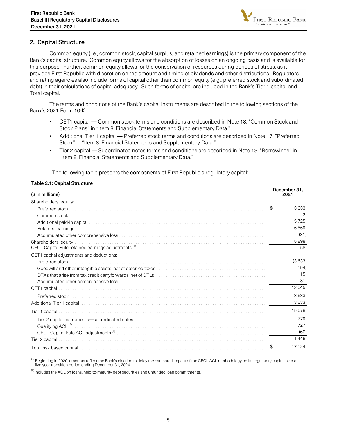

## <span id="page-4-0"></span>2. Capital Structure

Common equity (i.e., common stock, capital surplus, and retained earnings) is the primary component of the Bank's capital structure. Common equity allows for the absorption of losses on an ongoing basis and is available for this purpose. Further, common equity allows for the conservation of resources during periods of stress, as it provides First Republic with discretion on the amount and timing of dividends and other distributions. Regulators and rating agencies also include forms of capital other than common equity (e.g., preferred stock and subordinated debt) in their calculations of capital adequacy. Such forms of capital are included in the Bank's Tier 1 capital and Total capital.

The terms and conditions of the Bank's capital instruments are described in the following sections of the Bank's 2021 Form 10-K:

- CET1 capital Common stock terms and conditions are described in Note 18, "Common Stock and Stock Plans" in "Item 8. Financial Statements and Supplementary Data."
- Additional Tier 1 capital Preferred stock terms and conditions are described in Note 17, "Preferred Stock" in "Item 8. Financial Statements and Supplementary Data."
- Tier 2 capital Subordinated notes terms and conditions are described in Note 13, "Borrowings" in "Item 8. Financial Statements and Supplementary Data."

The following table presents the components of First Republic's regulatory capital:

#### Table 2.1: Capital Structure

 $\overline{\phantom{a}}$ 

| (\$ in millions)                                                                                                                                                                                                               |             |  |  |  |
|--------------------------------------------------------------------------------------------------------------------------------------------------------------------------------------------------------------------------------|-------------|--|--|--|
| Shareholders' equity:                                                                                                                                                                                                          |             |  |  |  |
| Preferred stock                                                                                                                                                                                                                | \$<br>3,633 |  |  |  |
| Common stock                                                                                                                                                                                                                   | 2           |  |  |  |
|                                                                                                                                                                                                                                | 5,725       |  |  |  |
| Retained earnings                                                                                                                                                                                                              | 6.569       |  |  |  |
|                                                                                                                                                                                                                                | (31)        |  |  |  |
| Shareholders' equity                                                                                                                                                                                                           | 15,898      |  |  |  |
| Shareholders' equity<br>CECL Capital Rule retained earnings adjustments <sup>(i)</sup>                                                                                                                                         | 58          |  |  |  |
| CET1 capital adjustments and deductions:                                                                                                                                                                                       |             |  |  |  |
| Preferred stock                                                                                                                                                                                                                | (3,633)     |  |  |  |
|                                                                                                                                                                                                                                | (194)       |  |  |  |
|                                                                                                                                                                                                                                | (115)       |  |  |  |
|                                                                                                                                                                                                                                | 31          |  |  |  |
| CET <sub>1</sub> capital                                                                                                                                                                                                       | 12,045      |  |  |  |
| Preferred stock                                                                                                                                                                                                                | 3,633       |  |  |  |
| Additional Tier 1 capital entries and contact the control of the control of the control of the control of the control of the control of the control of the control of the control of the control of the control of the control | 3,633       |  |  |  |
| Tier 1 capital                                                                                                                                                                                                                 | 15,678      |  |  |  |
|                                                                                                                                                                                                                                | 779         |  |  |  |
| Qualifying ACL <sup>(2)</sup>                                                                                                                                                                                                  | 727         |  |  |  |
|                                                                                                                                                                                                                                | (60)        |  |  |  |
| Tier 2 capital                                                                                                                                                                                                                 | 1,446       |  |  |  |
|                                                                                                                                                                                                                                | 17,124      |  |  |  |

<sup>(1)</sup> Beginning in 2020, amounts reflect the Bank's election to delay the estimated impact of the CECL ACL methodology on its regulatory capital over a five-year transition period ending December 31, 2024.

 $<sup>(2)</sup>$  Includes the ACL on loans, held-to-maturity debt securities and unfunded loan commitments.</sup>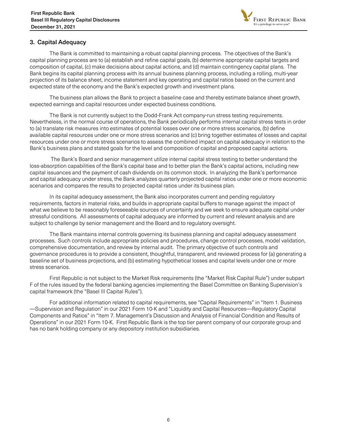

## <span id="page-5-0"></span>3. Capital Adequacy

The Bank is committed to maintaining a robust capital planning process. The objectives of the Bank's capital planning process are to (a) establish and refine capital goals, (b) determine appropriate capital targets and composition of capital, (c) make decisions about capital actions, and (d) maintain contingency capital plans. The Bank begins its capital planning process with its annual business planning process, including a rolling, multi-year projection of its balance sheet, income statement and key operating and capital ratios based on the current and expected state of the economy and the Bank's expected growth and investment plans.

 The business plan allows the Bank to project a baseline case and thereby estimate balance sheet growth, expected earnings and capital resources under expected business conditions.

The Bank is not currently subject to the Dodd-Frank Act company-run stress testing requirements. Nevertheless, in the normal course of operations, the Bank periodically performs internal capital stress tests in order to (a) translate risk measures into estimates of potential losses over one or more stress scenarios, (b) define available capital resources under one or more stress scenarios and (c) bring together estimates of losses and capital resources under one or more stress scenarios to assess the combined impact on capital adequacy in relation to the Bank's business plans and stated goals for the level and composition of capital and proposed capital actions.

 The Bank's Board and senior management utilize internal capital stress testing to better understand the loss-absorption capabilities of the Bank's capital base and to better plan the Bank's capital actions, including new capital issuances and the payment of cash dividends on its common stock. In analyzing the Bank's performance and capital adequacy under stress, the Bank analyzes quarterly projected capital ratios under one or more economic scenarios and compares the results to projected capital ratios under its business plan.

 In its capital adequacy assessment, the Bank also incorporates current and pending regulatory requirements, factors in material risks, and builds in appropriate capital buffers to manage against the impact of what we believe to be reasonably foreseeable sources of uncertainty and we seek to ensure adequate capital under stressful conditions. All assessments of capital adequacy are informed by current and relevant analysis and are subject to challenge by senior management and the Board and to regulatory oversight.

 The Bank maintains internal controls governing its business planning and capital adequacy assessment processes. Such controls include appropriate policies and procedures, change control processes, model validation, comprehensive documentation, and review by internal audit. The primary objective of such controls and governance procedures is to provide a consistent, thoughtful, transparent, and reviewed process for (a) generating a baseline set of business projections, and (b) estimating hypothetical losses and capital levels under one or more stress scenarios.

 First Republic is not subject to the Market Risk requirements (the "Market Risk Capital Rule") under subpart F of the rules issued by the federal banking agencies implementing the Basel Committee on Banking Supervision's capital framework (the "Basel III Capital Rules").

 For additional information related to capital requirements, see "Capital Requirements" in "Item 1. Business —Supervision and Regulation" in our 2021 Form 10-K and "Liquidity and Capital Resources—Regulatory Capital Components and Ratios" in "Item 7. Management's Discussion and Analysis of Financial Condition and Results of Operations" in our 2021 Form 10-K. First Republic Bank is the top tier parent company of our corporate group and has no bank holding company or any depository institution subsidiaries.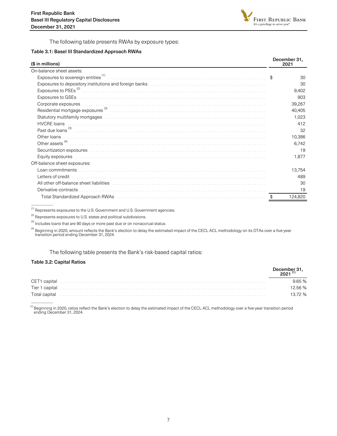

The following table presents RWAs by exposure types:

#### Table 3.1: Basel III Standardized Approach RWAs

| (\$ in millions)                                                                                                                                                                                                               | December 31,<br>2021 |
|--------------------------------------------------------------------------------------------------------------------------------------------------------------------------------------------------------------------------------|----------------------|
| On-balance sheet assets:                                                                                                                                                                                                       |                      |
| Exposures to sovereign entities <sup>(1)</sup>                                                                                                                                                                                 | \$<br>30             |
|                                                                                                                                                                                                                                | 30                   |
|                                                                                                                                                                                                                                | 9,402                |
|                                                                                                                                                                                                                                | 903                  |
| Corporate exposures                                                                                                                                                                                                            | 39,267               |
|                                                                                                                                                                                                                                | 40,405               |
| Statutory multifamily mortgages entertainment containment and the statute of the statutory multifamily mortgages                                                                                                               | 1,023                |
| <b>HVCRE</b> loans                                                                                                                                                                                                             | 412                  |
| Past due loans (3)                                                                                                                                                                                                             | 32                   |
| Other loans                                                                                                                                                                                                                    | 10,386               |
| Other assets <sup>(4)</sup>                                                                                                                                                                                                    | 6,742                |
|                                                                                                                                                                                                                                | 19                   |
| Equity exposures                                                                                                                                                                                                               | 1,877                |
| Off-balance sheet exposures:                                                                                                                                                                                                   |                      |
| Loan commitments [2010] [2010] [2010] [2010] [2010] [2010] [2010] [2010] [2010] [2010] [2010] [2010] [2010] [2010] [2010] [2010] [2010] [2010] [2010] [2010] [2010] [2010] [2010] [2010] [2010] [2010] [2010] [2010] [2010] [2 | 13,754               |
| Letters of credit                                                                                                                                                                                                              | 489                  |
| All other off-balance sheet liabilities entertainment contained and all other off-balance sheet liabilities                                                                                                                    | 30                   |
| Derivative contracts                                                                                                                                                                                                           | 19                   |
|                                                                                                                                                                                                                                | 124,820              |

 $^{\text{\tiny{(1)}}}$  Represents exposures to the U.S. Government and U.S. Government agencies.

 $^{(2)}$  Represents exposures to U.S. states and political subdivisions.

 $^{(3)}$  Includes loans that are 90 days or more past due or on nonaccrual status.

<sup>(4)</sup> Beginning in 2020, amount reflects the Bank's election to delay the estimated impact of the CECL ACL methodology on its DTAs over a five-year<br>transition period ending December 31, 2024.

#### The following table presents the Bank's risk-based capital ratios:

#### Table 3.2: Capital Ratios

\_\_\_\_\_\_\_\_\_\_

 $\mathcal{L}$ 

| December 31, |
|--------------|
| 9.65%        |
| 2.56%        |
| 13.72 %      |

<sup>(1)</sup> Beginning in 2020, ratios reflect the Bank's election to delay the estimated impact of the CECL ACL methodology over a five-year transition period ending December 31, 2024.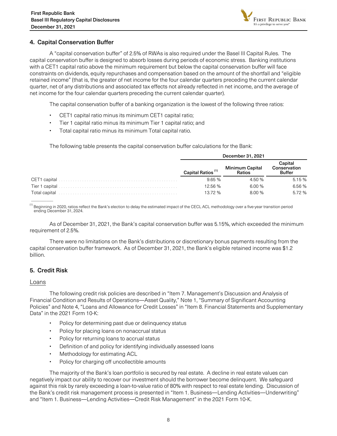

## <span id="page-7-0"></span>4. Capital Conservation Buffer

A "capital conservation buffer" of 2.5% of RWAs is also required under the Basel III Capital Rules. The capital conservation buffer is designed to absorb losses during periods of economic stress. Banking institutions with a CET1 capital ratio above the minimum requirement but below the capital conservation buffer will face constraints on dividends, equity repurchases and compensation based on the amount of the shortfall and "eligible retained income" (that is, the greater of net income for the four calendar quarters preceding the current calendar quarter, net of any distributions and associated tax effects not already reflected in net income, and the average of net income for the four calendar quarters preceding the current calendar quarter).

The capital conservation buffer of a banking organization is the lowest of the following three ratios:

- CET1 capital ratio minus its minimum CET1 capital ratio;
- Tier 1 capital ratio minus its minimum Tier 1 capital ratio; and
- Total capital ratio minus its minimum Total capital ratio.

The following table presents the capital conservation buffer calculations for the Bank:

|               |                               | December 31, 2021                |                                          |  |  |  |  |  |  |
|---------------|-------------------------------|----------------------------------|------------------------------------------|--|--|--|--|--|--|
|               | Capital Ratios <sup>(1)</sup> | <b>Minimum Capital</b><br>Ratios | Capital<br>Conservation<br><b>Buffer</b> |  |  |  |  |  |  |
|               | 965%                          | 4.50 %                           | 5.15%                                    |  |  |  |  |  |  |
|               | 12.56 %                       | 6.00 %                           | 6.56 %                                   |  |  |  |  |  |  |
| Total capital | 13.72%                        | 8.00%                            | 5.72 %                                   |  |  |  |  |  |  |

<sup>(1)</sup> Beginning in 2020, ratios reflect the Bank's election to delay the estimated impact of the CECL ACL methodology over a five-year transition period ending December 31, 2024.

As of December 31, 2021, the Bank's capital conservation buffer was 5.15%, which exceeded the minimum requirement of 2.5%.

There were no limitations on the Bank's distributions or discretionary bonus payments resulting from the capital conservation buffer framework. As of December 31, 2021, the Bank's eligible retained income was \$1.2 billion.

## 5. Credit Risk

## Loans

 $\mathcal{L}$ 

The following credit risk policies are described in "Item 7. Management's Discussion and Analysis of Financial Condition and Results of Operations—Asset Quality," Note 1, "Summary of Significant Accounting Policies" and Note 4, "Loans and Allowance for Credit Losses" in "Item 8. Financial Statements and Supplementary Data" in the 2021 Form 10-K:

- Policy for determining past due or delinquency status
- Policy for placing loans on nonaccrual status
- Policy for returning loans to accrual status
- Definition of and policy for identifying individually assessed loans
- Methodology for estimating ACL
- Policy for charging off uncollectible amounts

 The majority of the Bank's loan portfolio is secured by real estate. A decline in real estate values can negatively impact our ability to recover our investment should the borrower become delinquent. We safeguard against this risk by rarely exceeding a loan-to-value ratio of 80% with respect to real estate lending. Discussion of the Bank's credit risk management process is presented in "Item 1. Business—Lending Activities—Underwriting" and "Item 1. Business—Lending Activities—Credit Risk Management" in the 2021 Form 10-K.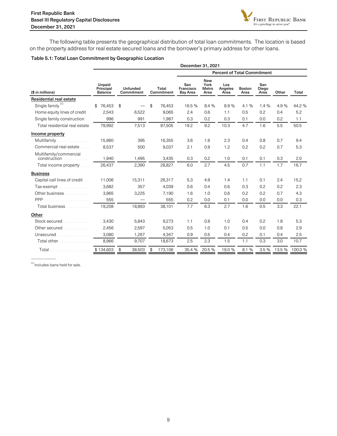

The following table presents the geographical distribution of total loan commitments. The location is based on the property address for real estate secured loans and the borrower's primary address for other loans.

#### Table 5.1: Total Loan Commitment by Geographic Location

|                                        | December 31, 2021              |                               |                     |                                     |                                     |                        |                       |                      |       |                |  |  |  |  |
|----------------------------------------|--------------------------------|-------------------------------|---------------------|-------------------------------------|-------------------------------------|------------------------|-----------------------|----------------------|-------|----------------|--|--|--|--|
|                                        |                                |                               |                     | <b>Percent of Total Commitment</b>  |                                     |                        |                       |                      |       |                |  |  |  |  |
| (\$ in millions)                       | Unpaid<br>Principal<br>Balance | <b>Unfunded</b><br>Commitment | Total<br>Commitment | San<br>Francisco<br><b>Bay Area</b> | <b>New</b><br>York<br>Metro<br>Area | Los<br>Angeles<br>Area | <b>Boston</b><br>Area | San<br>Diego<br>Area | Other | Total          |  |  |  |  |
| <b>Residential real estate</b>         |                                |                               |                     |                                     |                                     |                        |                       |                      |       |                |  |  |  |  |
| Single family <sup>(1)</sup>           | 76,453<br>\$                   | $\mathfrak{P}$                | \$<br>76,453        | 16.5 %                              | 8.4 %                               | 8.9%                   | 4.1 %                 | 1.4%                 | 4.9%  | 44.2 %         |  |  |  |  |
| Home equity lines of credit            | 2,543                          | 6,522                         | 9,065               | 2.4                                 | 0.6                                 | 1.1                    | 0.5                   | 0.2                  | 0.4   | 5.2            |  |  |  |  |
| Single family construction             | 996                            | 991                           | 1,987               | 0.3                                 | 0.2                                 | 0.3                    | 0.1                   | 0.0                  | 0.2   | 1.1            |  |  |  |  |
| Total residential real estate          | 79,992                         | 7,513                         | 87,505              | 19.2                                | 9.2                                 | 10.3                   | 4.7                   | 1.6                  | 5.5   | 50.5           |  |  |  |  |
| Income property                        |                                |                               |                     |                                     |                                     |                        |                       |                      |       |                |  |  |  |  |
| Multifamily<br>.                       | 15,960                         | 395                           | 16,355              | 3.6                                 | 1.6                                 | 2.3                    | 0.4                   | 0.8                  | 0.7   | 9.4            |  |  |  |  |
| Commercial real estate<br>1.1.1        | 8.537                          | 500                           | 9.037               | 2.1                                 | 0.9                                 | 1.2                    | 0.2                   | 0.2                  | 0.7   | 5.3            |  |  |  |  |
| Multifamily/commercial<br>construction | 1,940                          | 1,495                         | 3,435               | 0.3                                 | 0.2                                 | 1.0                    | 0.1                   | 0.1                  | 0.3   | 2.0            |  |  |  |  |
| Total income property [11]             | 26,437                         | 2,390                         | 28,827              | 6.0                                 | 2.7                                 | 4.5                    | 0.7                   | 1.1                  | 1.7   | 16.7           |  |  |  |  |
| <b>Business</b>                        |                                |                               |                     |                                     |                                     |                        |                       |                      |       |                |  |  |  |  |
| Capital call lines of credit           | 11,006                         | 15,311                        | 26,317              | 5.3                                 | 4.9                                 | 1.4                    | 1.1                   | 0.1                  | 2.4   | 15.2           |  |  |  |  |
| Tax-exempt                             | 3,682                          | 357                           | 4,039               | 0.6                                 | 0.4                                 | 0.6                    | 0.3                   | 0.2                  | 0.2   | 2.3            |  |  |  |  |
| Other business                         | 3,965                          | 3,225                         | 7,190               | 1.6                                 | 1.0                                 | 0.6                    | 0.2                   | 0.2                  | 0.7   | 4.3            |  |  |  |  |
| PPP<br>.                               | 555                            |                               | 555                 | 0.2                                 | 0.0                                 | 0.1                    | 0.0                   | 0.0                  | 0.0   | 0.3            |  |  |  |  |
| Total business                         | 19,208                         | 18,893                        | 38,101              | 7.7                                 | 6.3                                 | 2.7                    | 1.6                   | 0.5                  | 3.3   | 22.1           |  |  |  |  |
| Other                                  |                                |                               |                     |                                     |                                     |                        |                       |                      |       |                |  |  |  |  |
| Stock secured <i>manufacturer</i>      | 3,430                          | 5,843                         | 9,273               | 1.1                                 | 0.8                                 | 1.0                    | 0.4                   | 0.2                  | 1.8   | 5.3            |  |  |  |  |
| Other secured                          | 2,456                          | 2,597                         | 5,053               | 0.5                                 | 1.0                                 | 0.1                    | 0.5                   | 0.0                  | 0.8   | 2.9            |  |  |  |  |
| Unsecured<br>.                         | 3,080                          | 1,267                         | 4,347               | 0.9                                 | 0.5                                 | 0.4                    | 0.2                   | 0.1                  | 0.4   | 2.5            |  |  |  |  |
| Total other entrancements              | 8,966                          | 9,707                         | 18,673              | 2.5                                 | 2.3                                 | 1.5                    | 1.1                   | 0.3                  | 3.0   | 10.7           |  |  |  |  |
| Total                                  | \$134,603                      | 38,503<br>\$                  | 173,106<br>\$       | 35.4 %                              | 20.5 %                              | 19.0%                  | 8.1 %                 | 3.5%                 |       | 13.5 % 100.0 % |  |  |  |  |

(1) Includes loans held for sale.

—————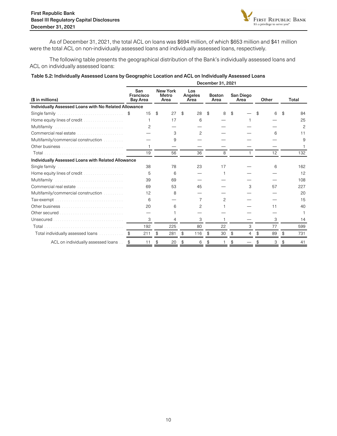

As of December 31, 2021, the total ACL on loans was \$694 million, of which \$653 million and \$41 million were the total ACL on non-individually assessed loans and individually assessed loans, respectively.

The following table presents the geographical distribution of the Bank's individually assessed loans and ACL on individually assessed loans:

#### Table 5.2: Individually Assessed Loans by Geographic Location and ACL on Individually Assessed Loans

|                                                                                                                                                                                                                                      | December 31, 2021 |                                     |    |                                  |    |                        |    |                       |    |                   |       |    |    |               |
|--------------------------------------------------------------------------------------------------------------------------------------------------------------------------------------------------------------------------------------|-------------------|-------------------------------------|----|----------------------------------|----|------------------------|----|-----------------------|----|-------------------|-------|----|----|---------------|
| (\$ in millions)                                                                                                                                                                                                                     |                   | San<br>Francisco<br><b>Bay Area</b> |    | <b>New York</b><br>Metro<br>Area |    | Los<br>Angeles<br>Area |    | <b>Boston</b><br>Area |    | San Diego<br>Area | Other |    |    | Total         |
| Individually Assessed Loans with No Related Allowance                                                                                                                                                                                |                   |                                     |    |                                  |    |                        |    |                       |    |                   |       |    |    |               |
| Single family.                                                                                                                                                                                                                       | \$                | 15                                  | \$ | 27                               | \$ | 28                     | \$ | 8                     | \$ |                   |       | 6  | \$ | 84            |
| Home equity lines of credit                                                                                                                                                                                                          |                   | 1                                   |    | 17                               |    | 6                      |    |                       |    |                   |       |    |    | 25            |
| Multifamily                                                                                                                                                                                                                          |                   | $\mathcal{P}$                       |    |                                  |    |                        |    |                       |    |                   |       |    |    | $\mathcal{P}$ |
| Commercial real estate                                                                                                                                                                                                               |                   |                                     |    | 3                                |    | $\mathcal{P}$          |    |                       |    |                   |       | 6  |    | 11            |
| Multifamily/commercial construction                                                                                                                                                                                                  |                   |                                     |    | 9                                |    |                        |    |                       |    |                   |       |    |    | 9             |
|                                                                                                                                                                                                                                      |                   |                                     |    |                                  |    |                        |    |                       |    |                   |       |    |    |               |
|                                                                                                                                                                                                                                      |                   | 19                                  |    | 56                               |    | 36                     |    | 8                     |    |                   |       | 12 |    | 132           |
| Individually Assessed Loans with Related Allowance                                                                                                                                                                                   |                   |                                     |    |                                  |    |                        |    |                       |    |                   |       |    |    |               |
| Single family                                                                                                                                                                                                                        |                   | 38                                  |    | 78                               |    | 23                     |    | 17                    |    |                   |       | 6  |    | 162           |
| Home equity lines of credit                                                                                                                                                                                                          |                   | 5                                   |    | 6                                |    |                        |    |                       |    |                   |       |    |    | 12            |
| Multifamily                                                                                                                                                                                                                          |                   | 39                                  |    | 69                               |    |                        |    |                       |    |                   |       |    |    | 108           |
| Commercial real estate entrances and contained                                                                                                                                                                                       |                   | 69                                  |    | 53                               |    | 45                     |    |                       |    | 3                 |       | 57 |    | 227           |
| Multifamily/commercial construction [11] Multifamily/commercial construction                                                                                                                                                         |                   | 12                                  |    | 8                                |    |                        |    |                       |    |                   |       |    |    | 20            |
| Tax-exempt.                                                                                                                                                                                                                          |                   | 6                                   |    |                                  |    | 7                      |    | 2                     |    |                   |       |    |    | 15            |
|                                                                                                                                                                                                                                      |                   | 20                                  |    | 6                                |    | 2                      |    |                       |    |                   |       | 11 |    | 40            |
| Other secured <b>Contract Contract of Contract Contract Contract Contract Contract Contract Contract Contract Contract Contract Contract Contract Contract Contract Contract Contract Contract Contract Contract Contract Contra</b> |                   |                                     |    |                                  |    |                        |    |                       |    |                   |       |    |    |               |
| Unsecured.                                                                                                                                                                                                                           |                   | 3                                   |    | 4                                |    | 3                      |    |                       |    |                   |       | 3  |    | 14            |
| Total                                                                                                                                                                                                                                |                   | 192                                 |    | 225                              |    | 80                     |    | 22                    |    | 3                 |       | 77 |    | 599           |
| Total individually assessed loans.                                                                                                                                                                                                   |                   | 211                                 | \$ | 281                              | \$ | 116                    | \$ | 30                    | \$ | 4                 |       | 89 | \$ | 731           |
| ACL on individually assessed loans                                                                                                                                                                                                   | \$                | 11                                  | \$ | 20                               | \$ | 6                      |    |                       | \$ |                   |       | 3  | \$ | 41            |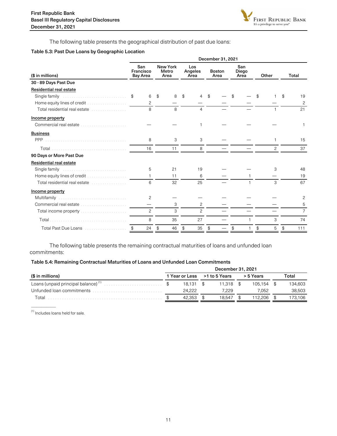

The following table presents the geographical distribution of past due loans:

#### Table 5.3: Past Due Loans by Geographic Location

|                                                                         | December 31, 2021                   |                                  |    |                                  |                       |  |                      |  |       |               |               |                |  |  |
|-------------------------------------------------------------------------|-------------------------------------|----------------------------------|----|----------------------------------|-----------------------|--|----------------------|--|-------|---------------|---------------|----------------|--|--|
| (\$ in millions)                                                        | San<br>Francisco<br><b>Bay Area</b> | <b>New York</b><br>Metro<br>Area |    | Los<br>Angeles<br>Area           | <b>Boston</b><br>Area |  | San<br>Diego<br>Area |  | Other |               |               | <b>Total</b>   |  |  |
| 30 - 89 Days Past Due                                                   |                                     |                                  |    |                                  |                       |  |                      |  |       |               |               |                |  |  |
| <b>Residential real estate</b>                                          |                                     |                                  |    |                                  |                       |  |                      |  |       |               |               |                |  |  |
| Single family                                                           | 6<br>\$                             | $\mathbf{\$}$                    | 8  | \$<br>4                          | \$                    |  | \$                   |  | \$    |               | \$            | 19             |  |  |
|                                                                         | $\mathcal{P}$                       |                                  |    |                                  |                       |  |                      |  |       |               |               | 2              |  |  |
| Total residential real estate entitled and containing                   | 8                                   |                                  | 8  | $\overline{4}$                   |                       |  |                      |  |       |               |               | 21             |  |  |
| Income property                                                         |                                     |                                  |    |                                  |                       |  |                      |  |       |               |               |                |  |  |
|                                                                         |                                     |                                  |    |                                  |                       |  |                      |  |       |               |               |                |  |  |
| <b>Business</b>                                                         |                                     |                                  |    |                                  |                       |  |                      |  |       |               |               |                |  |  |
|                                                                         | 8                                   |                                  | 3  | 3                                |                       |  |                      |  |       | 1             |               | 15             |  |  |
|                                                                         | 16                                  |                                  | 11 | 8                                |                       |  |                      |  |       | $\mathcal{P}$ |               | 37             |  |  |
| 90 Days or More Past Due                                                |                                     |                                  |    |                                  |                       |  |                      |  |       |               |               |                |  |  |
| Residential real estate                                                 |                                     |                                  |    |                                  |                       |  |                      |  |       |               |               |                |  |  |
| Single family entertainment is a substantial state of the Single Single | 5                                   | 21                               |    | 19                               |                       |  |                      |  |       | 3             |               | 48             |  |  |
|                                                                         | $\mathbf{1}$                        | 11                               |    | 6                                |                       |  |                      |  |       |               |               | 19             |  |  |
| Total residential real estate entitled and contained                    | 6                                   |                                  | 32 | 25                               |                       |  |                      |  |       | 3             |               | 67             |  |  |
| Income property                                                         |                                     |                                  |    |                                  |                       |  |                      |  |       |               |               |                |  |  |
| Multifamily                                                             | 2                                   |                                  |    |                                  |                       |  |                      |  |       |               |               | 2              |  |  |
| Commercial real estate                                                  |                                     |                                  | 3  | 2                                |                       |  |                      |  |       |               |               | 5              |  |  |
|                                                                         | 2                                   |                                  | 3  | $\mathcal{P}$                    |                       |  |                      |  |       |               |               | $\overline{7}$ |  |  |
|                                                                         | 8                                   | 35                               |    | 27                               |                       |  |                      |  |       | 3             |               | 74             |  |  |
| Total Past Due Loans \$                                                 | 24                                  | \$                               | 46 | $\boldsymbol{\mathcal{S}}$<br>35 | - \$                  |  | $\$\$                |  | \$    | 5             | $\frac{1}{2}$ | 111            |  |  |

The following table presents the remaining contractual maturities of loans and unfunded loan commitments:

#### Table 5.4: Remaining Contractual Maturities of Loans and Unfunded Loan Commitments

|                  | December 31, 2021 |                              |  |             |  |           |       |         |  |  |  |  |
|------------------|-------------------|------------------------------|--|-------------|--|-----------|-------|---------|--|--|--|--|
| (\$ in millions) |                   | 1 Year or Less >1 to 5 Years |  |             |  | > 5 Years | Total |         |  |  |  |  |
|                  |                   | $18.131$ \$                  |  | $11.318$ \$ |  | 105.154   |       | 134.603 |  |  |  |  |
|                  |                   | 24.222                       |  | 7.229       |  | 7.052     |       | 38.503  |  |  |  |  |
| Total            |                   | 42.353                       |  | 18.547      |  |           |       | 173,106 |  |  |  |  |

<sup>(1)</sup> Includes loans held for sale.

—————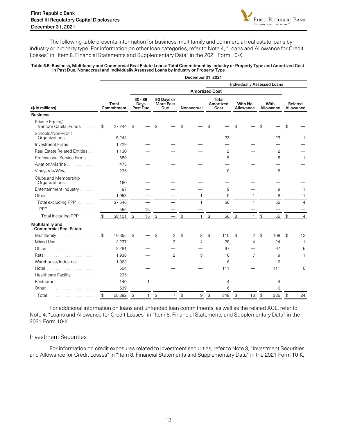

The following table presents information for business, multifamily and commercial real estate loans by industry or property type. For information on other loan categories, refer to Note 4, "Loans and Allowance for Credit Losses" in "Item 8. Financial Statements and Supplementary Data" in the 2021 Form 10-K.

#### Table 5.5: Business, Multifamily and Commercial Real Estate Loans: Total Commitment by Industry or Property Type and Amortized Cost in Past Due, Nonaccrual and Individually Assessed Loans by Industry or Property Type

December 21, 2021

|                                                  |                         |                     |                               |              |                                       |                |            | DECENNEL 31, ZUZ I    |                            |                |                             |                |                   |                                    |                            |                      |
|--------------------------------------------------|-------------------------|---------------------|-------------------------------|--------------|---------------------------------------|----------------|------------|-----------------------|----------------------------|----------------|-----------------------------|----------------|-------------------|------------------------------------|----------------------------|----------------------|
|                                                  |                         |                     |                               |              |                                       |                |            |                       |                            |                |                             |                |                   | <b>Individually Assessed Loans</b> |                            |                      |
|                                                  |                         |                     |                               |              |                                       |                |            | <b>Amortized Cost</b> |                            |                |                             |                |                   |                                    |                            |                      |
| (\$ in millions)                                 |                         | Total<br>Commitment | $30 - 89$<br>Days<br>Past Due |              | 90 Days or<br>More Past<br><b>Due</b> |                | Nonaccrual |                       | Total<br>Amortized<br>Cost |                | <b>With No</b><br>Allowance |                | With<br>Allowance |                                    |                            | Related<br>Allowance |
| <b>Business</b>                                  |                         |                     |                               |              |                                       |                |            |                       |                            |                |                             |                |                   |                                    |                            |                      |
| Private Equity/<br>Venture Capital Funds         | \$                      | 27,244              | \$                            |              | \$                                    |                | \$         |                       | \$                         |                | \$                          |                | \$                |                                    | \$                         |                      |
| Schools/Non-Profit<br>Organizations<br>.         |                         | 5,244               |                               |              |                                       |                |            |                       |                            | 23             |                             |                |                   | 23                                 |                            | 1                    |
| Investment Firms                                 |                         | 1,229               |                               |              |                                       |                |            |                       |                            |                |                             |                |                   |                                    |                            |                      |
| Real Estate Related Entities                     |                         | 1,130               |                               |              |                                       |                |            |                       |                            | $\mathcal{P}$  |                             |                |                   | $\mathcal{P}$                      |                            |                      |
| Professional Service Firms                       |                         | 689                 |                               |              |                                       |                |            |                       |                            | 5              |                             |                |                   | 5                                  |                            | 1                    |
| Aviation/Marine                                  |                         | 475                 |                               |              |                                       |                |            |                       |                            |                |                             |                |                   |                                    |                            |                      |
| Vineyards/Wine                                   |                         | 235                 |                               |              |                                       |                |            |                       |                            | 8              |                             |                |                   | 8                                  |                            |                      |
| Clubs and Membership<br>Organizations<br>.       |                         | 160                 |                               |              |                                       |                |            |                       |                            |                |                             |                |                   |                                    |                            |                      |
| Entertainment Industry                           |                         | 87                  |                               |              |                                       |                |            |                       |                            | 9              |                             |                |                   | 9                                  |                            | 1                    |
|                                                  |                         | 1,053               |                               |              |                                       |                |            | $\mathbf{1}$          |                            | 9              |                             | $\mathbf{1}$   |                   | 8                                  |                            | 1                    |
| Total excluding PPP                              |                         | 37,546              |                               |              |                                       |                |            | $\mathbf{1}$          |                            | 56             |                             | $\mathbf{1}$   |                   | 55                                 |                            | $\overline{4}$       |
| PPP                                              |                         | 555                 |                               | 15           |                                       |                |            |                       |                            |                |                             |                |                   |                                    |                            |                      |
| Total including PPP                              | $\sqrt[6]{\frac{4}{5}}$ | 38,101              | $\frac{1}{2}$                 | 15           | $\frac{1}{2}$                         |                | \$         |                       | \$                         | 56             | $\frac{1}{2}$               | 1              | \$                | 55                                 | $\boldsymbol{\mathcal{S}}$ | $\overline{4}$       |
| Multifamily and<br><b>Commercial Real Estate</b> |                         |                     |                               |              |                                       |                |            |                       |                            |                |                             |                |                   |                                    |                            |                      |
| Multifamily                                      | \$                      | 16,355              | \$                            |              | \$                                    | 2              | \$         | $\overline{c}$        | \$                         | 110            | \$                          | 2              | \$                | 108                                | \$                         | 12                   |
| Mixed Use <i>manufacturers</i> Mixed Use         |                         | 2,237               |                               |              |                                       | 3              |            | $\overline{4}$        |                            | 28             |                             | $\overline{4}$ |                   | 24                                 |                            | $\mathbf{1}$         |
| Office                                           |                         | 2,281               |                               |              |                                       |                |            |                       |                            | 67             |                             |                |                   | 67                                 |                            | 5                    |
| Retail                                           |                         | 1,938               |                               |              |                                       | 2              |            | 3                     |                            | 16             |                             | $\overline{7}$ |                   | 9                                  |                            | 1                    |
| Warehouse/Industrial                             |                         | 1,063               |                               |              |                                       |                |            |                       |                            | 6              |                             |                |                   | 6                                  |                            |                      |
| Hotel<br>.                                       |                         | 504                 |                               |              |                                       |                |            |                       |                            | 111            |                             |                |                   | 111                                |                            | 5                    |
| Healthcare Facility                              |                         | 235                 |                               |              |                                       |                |            |                       |                            |                |                             |                |                   |                                    |                            |                      |
| Restaurant                                       |                         | 140                 |                               | $\mathbf{1}$ |                                       |                |            |                       |                            | $\overline{4}$ |                             |                |                   | $\overline{4}$                     |                            |                      |
|                                                  |                         | 639                 |                               |              |                                       |                |            |                       |                            | 6              |                             |                |                   | 6                                  |                            |                      |
| Total                                            | \$                      | 25,392              | $\mathfrak{L}$                | $\mathbf{1}$ | \$                                    | $\overline{7}$ | \$         | 9                     | $\mathcal{L}$              | 348            | $\mathcal{L}$               | 13             | \$                | 335                                | \$                         | 24                   |

For additional information on loans and unfunded loan commitments, as well as the related ACL, refer to Note 4, "Loans and Allowance for Credit Losses" in "Item 8. Financial Statements and Supplementary Data" in the 2021 Form 10-K.

#### Investment Securities

For information on credit exposures related to investment securities, refer to Note 3, "Investment Securities and Allowance for Credit Losses" in "Item 8. Financial Statements and Supplementary Data" in the 2021 Form 10-K.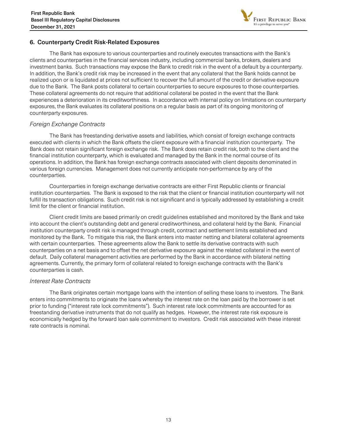

## <span id="page-12-0"></span>6. Counterparty Credit Risk-Related Exposures

The Bank has exposure to various counterparties and routinely executes transactions with the Bank's clients and counterparties in the financial services industry, including commercial banks, brokers, dealers and investment banks. Such transactions may expose the Bank to credit risk in the event of a default by a counterparty. In addition, the Bank's credit risk may be increased in the event that any collateral that the Bank holds cannot be realized upon or is liquidated at prices not sufficient to recover the full amount of the credit or derivative exposure due to the Bank. The Bank posts collateral to certain counterparties to secure exposures to those counterparties. These collateral agreements do not require that additional collateral be posted in the event that the Bank experiences a deterioration in its creditworthiness. In accordance with internal policy on limitations on counterparty exposures, the Bank evaluates its collateral positions on a regular basis as part of its ongoing monitoring of counterparty exposures.

## Foreign Exchange Contracts

The Bank has freestanding derivative assets and liabilities, which consist of foreign exchange contracts executed with clients in which the Bank offsets the client exposure with a financial institution counterparty. The Bank does not retain significant foreign exchange risk. The Bank does retain credit risk, both to the client and the financial institution counterparty, which is evaluated and managed by the Bank in the normal course of its operations. In addition, the Bank has foreign exchange contracts associated with client deposits denominated in various foreign currencies. Management does not currently anticipate non-performance by any of the counterparties.

 Counterparties in foreign exchange derivative contracts are either First Republic clients or financial institution counterparties. The Bank is exposed to the risk that the client or financial institution counterparty will not fulfill its transaction obligations. Such credit risk is not significant and is typically addressed by establishing a credit limit for the client or financial institution.

 Client credit limits are based primarily on credit guidelines established and monitored by the Bank and take into account the client's outstanding debt and general creditworthiness, and collateral held by the Bank. Financial institution counterparty credit risk is managed through credit, contract and settlement limits established and monitored by the Bank. To mitigate this risk, the Bank enters into master netting and bilateral collateral agreements with certain counterparties. These agreements allow the Bank to settle its derivative contracts with such counterparties on a net basis and to offset the net derivative exposure against the related collateral in the event of default. Daily collateral management activities are performed by the Bank in accordance with bilateral netting agreements. Currently, the primary form of collateral related to foreign exchange contracts with the Bank's counterparties is cash.

## Interest Rate Contracts

 The Bank originates certain mortgage loans with the intention of selling these loans to investors. The Bank enters into commitments to originate the loans whereby the interest rate on the loan paid by the borrower is set prior to funding ("interest rate lock commitments"). Such interest rate lock commitments are accounted for as freestanding derivative instruments that do not qualify as hedges. However, the interest rate risk exposure is economically hedged by the forward loan sale commitment to investors. Credit risk associated with these interest rate contracts is nominal.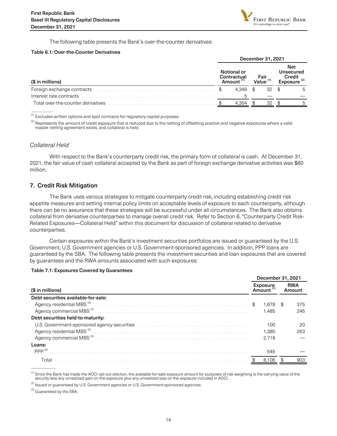

The following table presents the Bank's over-the-counter derivatives:

#### <span id="page-13-0"></span>Table 6.1: Over-the-Counter Derivatives

|                                    | December 31, 2021 |                                                     |       |                     |                                                              |  |  |  |  |  |  |
|------------------------------------|-------------------|-----------------------------------------------------|-------|---------------------|--------------------------------------------------------------|--|--|--|--|--|--|
| (\$ in millions)                   |                   | Notional or<br>Contractual<br>Amount <sup>(1)</sup> |       | Fair<br>Value $(1)$ | <b>Net</b><br>Unsecured<br>Credit<br>Exposure <sup>(2)</sup> |  |  |  |  |  |  |
|                                    |                   | 4.349                                               | $\Re$ | 32                  | \$.<br>5                                                     |  |  |  |  |  |  |
| Interest rate contracts            |                   |                                                     |       |                     |                                                              |  |  |  |  |  |  |
| Total over-the-counter derivatives |                   | 4.354                                               |       | 32                  | Б.                                                           |  |  |  |  |  |  |

(1) Excludes written options and spot contracts for regulatory capital purposes.

<sup>(2)</sup> Represents the amount of credit exposure that is reduced due to the netting of offsetting positive and negative exposures where a valid master netting agreement exists, and collateral is held.

#### Collateral Held

 $\overline{\phantom{a}}$ 

With respect to the Bank's counterparty credit risk, the primary form of collateral is cash. At December 31, 2021, the fair value of cash collateral accepted by the Bank as part of foreign exchange derivative activities was \$60 million.

#### 7. Credit Risk Mitigation

The Bank uses various strategies to mitigate counterparty credit risk, including establishing credit risk appetite measures and setting internal policy limits on acceptable levels of exposure to each counterparty, although there can be no assurance that these strategies will be successful under all circumstances. The Bank also obtains collateral from derivative counterparties to manage overall credit risk. Refer to Section 6, "Counterparty Credit Risk-Related Exposures—Collateral Held" within this document for discussion of collateral related to derivative counterparties.

Certain exposures within the Bank's investment securities portfolios are issued or guaranteed by the U.S. Government, U.S. Government agencies or U.S. Government-sponsored agencies. In addition, PPP loans are guaranteed by the SBA. The following table presents the investment securities and loan exposures that are covered by guarantees and the RWA amounts associated with such exposures:

#### Table 7.1: Exposures Covered by Guarantees

|                                                                                                                       | December 31, 2021  |      |                      |
|-----------------------------------------------------------------------------------------------------------------------|--------------------|------|----------------------|
| (\$ in millions)                                                                                                      | Exposure<br>Amount |      | <b>RWA</b><br>Amount |
| Debt securities available-for-sale:                                                                                   |                    |      |                      |
| Agency residential MBS <sup>(2)</sup>                                                                                 | \$<br>1.878        | - \$ | 375                  |
|                                                                                                                       | 1.485              |      | 245                  |
| Debt securities held-to-maturity:                                                                                     |                    |      |                      |
| U.S. Government-sponsored agency securities entertainment contains and contained a securities of the U.S. Government- | 100                |      | 20                   |
|                                                                                                                       | 1.380              |      | 263                  |
|                                                                                                                       | 2,718              |      |                      |
| Loans:                                                                                                                |                    |      |                      |
| PPP $(3)$                                                                                                             | 545                |      |                      |
| Total                                                                                                                 | 8.106              |      |                      |
|                                                                                                                       |                    |      |                      |

<sup>(1)</sup> Since the Bank has made the AOCI opt-out election, the available-for-sale exposure amount for purposes of risk weighting is the carrying value of the<br>security less any unrealized gain on the exposure plus any unreali

 $^{(2)}$  Issued or guaranteed by U.S. Government agencies or U.S. Government-sponsored agencies.

<sup>(3)</sup> Guaranteed by the SBA.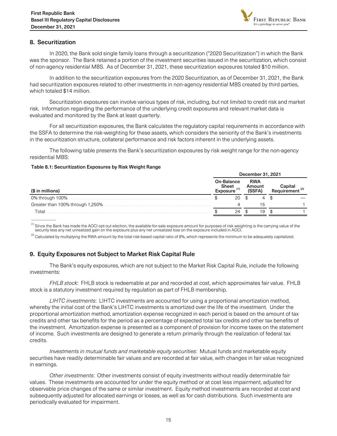

## <span id="page-14-0"></span>8. Securitization

In 2020, the Bank sold single family loans through a securitization ("2020 Securitization") in which the Bank was the sponsor. The Bank retained a portion of the investment securities issued in the securitization, which consist of non-agency residential MBS. As of December 31, 2021, these securitization exposures totaled \$10 million.

In addition to the securitization exposures from the 2020 Securitization, as of December 31, 2021, the Bank had securitization exposures related to other investments in non-agency residential MBS created by third parties, which totaled \$14 million.

Securitization exposures can involve various types of risk, including, but not limited to credit risk and market risk. Information regarding the performance of the underlying credit exposures and relevant market data is evaluated and monitored by the Bank at least quarterly.

For all securitization exposures, the Bank calculates the regulatory capital requirements in accordance with the SSFA to determine the risk-weighting for these assets, which considers the seniority of the Bank's investments in the securitization structure, collateral performance and risk factors inherent in the underlying assets.

The following table presents the Bank's securitization exposures by risk weight range for the non-agency residential MBS:

#### Table 8.1: Securitization Exposures by Risk Weight Range

|                  | December 31, 2021                              |  |                                |  |                            |
|------------------|------------------------------------------------|--|--------------------------------|--|----------------------------|
| (\$ in millions) | On-Balance<br>Sheet<br>Exposure <sup>(1)</sup> |  | <b>RWA</b><br>Amount<br>(SSFA) |  | Requirement <sup>(2)</sup> |
|                  | 20                                             |  | 4                              |  |                            |
|                  |                                                |  | 1 h                            |  |                            |
| Total            | 24                                             |  | 19                             |  |                            |
|                  |                                                |  |                                |  |                            |

<sup>(1)</sup> Since the Bank has made the AOCI opt-out election, the available-for-sale exposure amount for purposes of risk weighting is the carrying value of the<br>security less any net unrealized gain on the exposure plus any net

 $^{(2)}$  Calculated by multiplying the RWA amount by the total risk-based capital ratio of 8%, which represents the minimum to be adequately capitalized.

## 9. Equity Exposures not Subject to Market Risk Capital Rule

The Bank's equity exposures, which are not subject to the Market Risk Capital Rule, include the following investments:

FHLB stock: FHLB stock is redeemable at par and recorded at cost, which approximates fair value. FHLB stock is a statutory investment required by regulation as part of FHLB membership.

LIHTC investments: LIHTC investments are accounted for using a proportional amortization method, whereby the initial cost of the Bank's LIHTC investments is amortized over the life of the investment. Under the proportional amortization method, amortization expense recognized in each period is based on the amount of tax credits and other tax benefits for the period as a percentage of expected total tax credits and other tax benefits of the investment. Amortization expense is presented as a component of provision for income taxes on the statement of income. Such investments are designed to generate a return primarily through the realization of federal tax credits.

Investments in mutual funds and marketable equity securities: Mutual funds and marketable equity securities have readily determinable fair values and are recorded at fair value, with changes in fair value recognized in earnings.

Other investments: Other investments consist of equity investments without readily determinable fair values. These investments are accounted for under the equity method or at cost less impairment, adjusted for observable price changes of the same or similar investment. Equity method investments are recorded at cost and subsequently adjusted for allocated earnings or losses, as well as for cash distributions. Such investments are periodically evaluated for impairment.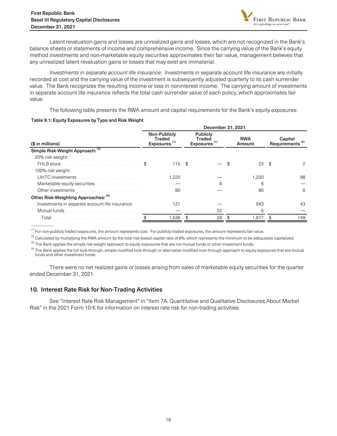

<span id="page-15-0"></span> Latent revaluation gains and losses are unrealized gains and losses, which are not recognized in the Bank's balance sheets or statements of income and comprehensive income. Since the carrying value of the Bank's equity method investments and non-marketable equity securities approximates their fair value, management believes that any unrealized latent revaluation gains or losses that may exist are immaterial.

 Investments in separate account life insurance: Investments in separate account life insurance are initially recorded at cost and the carrying value of the investment is subsequently adjusted quarterly to its cash surrender value. The Bank recognizes the resulting income or loss in noninterest income. The carrying amount of investments in separate account life insurance reflects the total cash surrender value of each policy, which approximates fair value.

The following table presents the RWA amount and capital requirements for the Bank's equity exposures:

#### Table 9.1: Equity Exposures by Type and Risk Weight

|                                                | December 31, 2021 |                                                                                                             |    |                      |    |                                        |    |     |
|------------------------------------------------|-------------------|-------------------------------------------------------------------------------------------------------------|----|----------------------|----|----------------------------------------|----|-----|
| (\$ in millions)                               |                   | Non-Publicly<br><b>Publicly</b><br>Traded<br>Traded<br>Exposures <sup>(1)</sup><br>Exposures <sup>(1)</sup> |    | <b>RWA</b><br>Amount |    | Capital<br>Requirements <sup>(2)</sup> |    |     |
| Simple Risk-Weight Approach: (3)               |                   |                                                                                                             |    |                      |    |                                        |    |     |
| 20% risk weight:                               |                   |                                                                                                             |    |                      |    |                                        |    |     |
| FHLB stock                                     |                   | $115 - $$                                                                                                   |    |                      | \$ | 23                                     | \$ | 2   |
| 100% risk weight:                              |                   |                                                                                                             |    |                      |    |                                        |    |     |
| <b>LIHTC</b> investments                       |                   | 1,220                                                                                                       |    |                      |    | 1,220                                  |    | 98  |
| Marketable equity securities                   |                   |                                                                                                             |    | 6                    |    | 6                                      |    |     |
| Other investments                              |                   | 80                                                                                                          |    |                      |    | 80                                     |    | 6   |
| Other Risk-Weighting Approaches: (4)           |                   |                                                                                                             |    |                      |    |                                        |    |     |
| Investments in separate account life insurance |                   | 121                                                                                                         |    |                      |    | 543                                    |    | 43  |
| Mutual funds                                   |                   |                                                                                                             |    | 22                   |    | 5                                      |    |     |
| Total                                          |                   | 1,536                                                                                                       | \$ | 28                   |    | 1.877                                  |    | 149 |
|                                                |                   |                                                                                                             |    |                      |    |                                        |    |     |

 $<sup>(1)</sup>$  For non-publicly traded exposures, the amount represents cost. For publicly traded exposures, the amount represents fair value.</sup>

 $^{(2)}$  Calculated by multiplying the RWA amount by the total risk-based capital ratio of 8%, which represents the minimum to be adequately capitalized.

<sup>(3)</sup> The Bank applies the simple risk-weight approach to equity exposures that are not mutual funds or other investment funds.

<sup>(4)</sup> The Bank applies the full look-through, simple modified look-through or alternative modified look-through approach to equity exposures that are mutual funds and other investment funds.

There were no net realized gains or losses arising from sales of marketable equity securities for the quarter ended December 31, 2021.

## 10. Interest Rate Risk for Non-Trading Activities

See "Interest Rate Risk Management" in "Item 7A. Quantitative and Qualitative Disclosures About Market Risk" in the 2021 Form 10-K for information on interest rate risk for non-trading activities.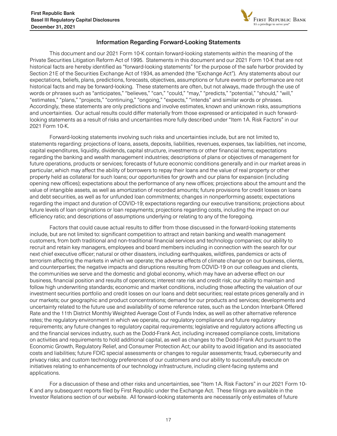

## Information Regarding Forward-Looking Statements

<span id="page-16-0"></span>This document and our 2021 Form 10-K contain forward-looking statements within the meaning of the Private Securities Litigation Reform Act of 1995. Statements in this document and our 2021 Form 10-K that are not historical facts are hereby identified as "forward-looking statements" for the purpose of the safe harbor provided by Section 21E of the Securities Exchange Act of 1934, as amended (the "Exchange Act"). Any statements about our expectations, beliefs, plans, predictions, forecasts, objectives, assumptions or future events or performance are not historical facts and may be forward-looking. These statements are often, but not always, made through the use of words or phrases such as "anticipates," "believes," "can," "could," "may," "predicts," "potential," "should," "will," "estimates," "plans," "projects," "continuing," "ongoing," "expects," "intends" and similar words or phrases. Accordingly, these statements are only predictions and involve estimates, known and unknown risks, assumptions and uncertainties. Our actual results could differ materially from those expressed or anticipated in such forwardlooking statements as a result of risks and uncertainties more fully described under "Item 1A. Risk Factors" in our 2021 Form 10-K.

 Forward-looking statements involving such risks and uncertainties include, but are not limited to, statements regarding: projections of loans, assets, deposits, liabilities, revenues, expenses, tax liabilities, net income, capital expenditures, liquidity, dividends, capital structure, investments or other financial items; expectations regarding the banking and wealth management industries; descriptions of plans or objectives of management for future operations, products or services; forecasts of future economic conditions generally and in our market areas in particular, which may affect the ability of borrowers to repay their loans and the value of real property or other property held as collateral for such loans; our opportunities for growth and our plans for expansion (including opening new offices); expectations about the performance of any new offices; projections about the amount and the value of intangible assets, as well as amortization of recorded amounts; future provisions for credit losses on loans and debt securities, as well as for unfunded loan commitments; changes in nonperforming assets; expectations regarding the impact and duration of COVID-19; expectations regarding our executive transitions; projections about future levels of loan originations or loan repayments; projections regarding costs, including the impact on our efficiency ratio; and descriptions of assumptions underlying or relating to any of the foregoing.

Factors that could cause actual results to differ from those discussed in the forward-looking statements include, but are not limited to: significant competition to attract and retain banking and wealth management customers, from both traditional and non-traditional financial services and technology companies; our ability to recruit and retain key managers, employees and board members including in connection with the search for our next chief executive officer; natural or other disasters, including earthquakes, wildfires, pandemics or acts of terrorism affecting the markets in which we operate; the adverse effects of climate change on our business, clients, and counterparties; the negative impacts and disruptions resulting from COVID-19 on our colleagues and clients, the communities we serve and the domestic and global economy, which may have an adverse effect on our business, financial position and results of operations; interest rate risk and credit risk; our ability to maintain and follow high underwriting standards; economic and market conditions, including those affecting the valuation of our investment securities portfolio and credit losses on our loans and debt securities; real estate prices generally and in our markets; our geographic and product concentrations; demand for our products and services; developments and uncertainty related to the future use and availability of some reference rates, such as the London Interbank Offered Rate and the 11th District Monthly Weighted Average Cost of Funds Index, as well as other alternative reference rates; the regulatory environment in which we operate, our regulatory compliance and future regulatory requirements; any future changes to regulatory capital requirements; legislative and regulatory actions affecting us and the financial services industry, such as the Dodd-Frank Act, including increased compliance costs, limitations on activities and requirements to hold additional capital, as well as changes to the Dodd-Frank Act pursuant to the Economic Growth, Regulatory Relief, and Consumer Protection Act; our ability to avoid litigation and its associated costs and liabilities; future FDIC special assessments or changes to regular assessments; fraud, cybersecurity and privacy risks; and custom technology preferences of our customers and our ability to successfully execute on initiatives relating to enhancements of our technology infrastructure, including client-facing systems and applications.

 For a discussion of these and other risks and uncertainties, see "Item 1A. Risk Factors" in our 2021 Form 10- K and any subsequent reports filed by First Republic under the Exchange Act. These filings are available in the Investor Relations section of our website. All forward-looking statements are necessarily only estimates of future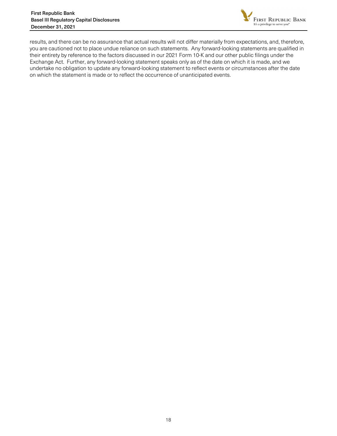

results, and there can be no assurance that actual results will not differ materially from expectations, and, therefore, you are cautioned not to place undue reliance on such statements. Any forward-looking statements are qualified in their entirety by reference to the factors discussed in our 2021 Form 10-K and our other public filings under the Exchange Act. Further, any forward-looking statement speaks only as of the date on which it is made, and we undertake no obligation to update any forward-looking statement to reflect events or circumstances after the date on which the statement is made or to reflect the occurrence of unanticipated events.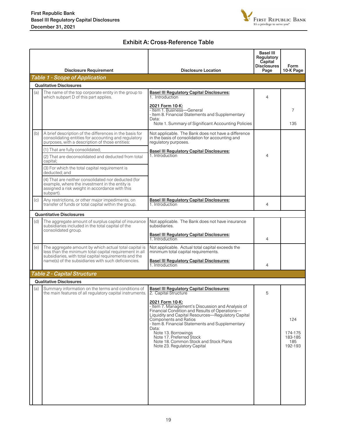

# Exhibit A: Cross-Reference Table

<span id="page-18-0"></span>

|     | <b>Disclosure Requirement</b>                                                                                                                                            | <b>Disclosure Location</b>                                                                                                                                                                                                                                                                                                                                                                    | <b>Basel III</b><br>Regulatory<br>Capital<br><b>Disclosures</b><br>Page | Form<br>10-K Page                           |
|-----|--------------------------------------------------------------------------------------------------------------------------------------------------------------------------|-----------------------------------------------------------------------------------------------------------------------------------------------------------------------------------------------------------------------------------------------------------------------------------------------------------------------------------------------------------------------------------------------|-------------------------------------------------------------------------|---------------------------------------------|
|     | <b>Table 1 - Scope of Application</b>                                                                                                                                    |                                                                                                                                                                                                                                                                                                                                                                                               |                                                                         |                                             |
|     | <b>Qualitative Disclosures</b>                                                                                                                                           |                                                                                                                                                                                                                                                                                                                                                                                               |                                                                         |                                             |
| (a) | The name of the top corporate entity in the group to<br>which subpart D of this part applies.                                                                            | <b>Basel III Regulatory Capital Disclosures:</b><br>1. Introduction                                                                                                                                                                                                                                                                                                                           | 4                                                                       |                                             |
|     |                                                                                                                                                                          | 2021 Form 10-K:<br>- Item 1. Business-General<br>- Item 8. Financial Statements and Supplementary<br>Data:<br>Note 1. Summary of Significant Accounting Policies                                                                                                                                                                                                                              |                                                                         | 7<br>135                                    |
| (b) | A brief description of the differences in the basis for<br>consolidating entities for accounting and regulatory<br>purposes, with a description of those entities:       | Not applicable. The Bank does not have a difference<br>in the basis of consolidation for accounting and<br>regulatory purposes.                                                                                                                                                                                                                                                               |                                                                         |                                             |
|     | (1) That are fully consolidated;                                                                                                                                         | <b>Basel III Regulatory Capital Disclosures:</b>                                                                                                                                                                                                                                                                                                                                              |                                                                         |                                             |
|     | (2) That are deconsolidated and deducted from total<br>capital;                                                                                                          | 1. Introduction                                                                                                                                                                                                                                                                                                                                                                               | 4                                                                       |                                             |
|     | (3) For which the total capital requirement is<br>deducted; and                                                                                                          |                                                                                                                                                                                                                                                                                                                                                                                               |                                                                         |                                             |
|     | (4) That are neither consolidated nor deducted (for<br>example, where the investment in the entity is<br>assigned a risk weight in accordance with this<br>subpart).     |                                                                                                                                                                                                                                                                                                                                                                                               |                                                                         |                                             |
| (c) | Any restrictions, or other major impediments, on<br>transfer of funds or total capital within the group.                                                                 | <b>Basel III Regulatory Capital Disclosures:</b><br>1. Introduction                                                                                                                                                                                                                                                                                                                           | 4                                                                       |                                             |
|     | <b>Quantitative Disclosures</b>                                                                                                                                          |                                                                                                                                                                                                                                                                                                                                                                                               |                                                                         |                                             |
| (d) | The aggregate amount of surplus capital of insurance<br>subsidiaries included in the total capital of the<br>consolidated group.                                         | Not applicable. The Bank does not have insurance<br>subsidiaries.                                                                                                                                                                                                                                                                                                                             |                                                                         |                                             |
|     |                                                                                                                                                                          | <b>Basel III Regulatory Capital Disclosures:</b><br>1. Introduction                                                                                                                                                                                                                                                                                                                           | 4                                                                       |                                             |
| (e) | The aggregate amount by which actual total capital is<br>less than the minimum total capital requirement in all<br>subsidiaries, with total capital requirements and the | Not applicable. Actual total capital exceeds the<br>minimum total capital requirements.                                                                                                                                                                                                                                                                                                       |                                                                         |                                             |
|     | name(s) of the subsidiaries with such deficiencies.                                                                                                                      | <b>Basel III Regulatory Capital Disclosures:</b><br>1. Introduction                                                                                                                                                                                                                                                                                                                           | 4                                                                       |                                             |
|     | <b>Table 2 - Capital Structure</b>                                                                                                                                       |                                                                                                                                                                                                                                                                                                                                                                                               |                                                                         |                                             |
|     | <b>Qualitative Disclosures</b>                                                                                                                                           |                                                                                                                                                                                                                                                                                                                                                                                               |                                                                         |                                             |
| (a) | Summary information on the terms and conditions of<br>the main features of all regulatory capital instruments.   2. Capital Structure                                    | <b>Basel III Regulatory Capital Disclosures:</b>                                                                                                                                                                                                                                                                                                                                              | 5                                                                       |                                             |
|     |                                                                                                                                                                          | 2021 Form 10-K:<br>- Item 7. Management's Discussion and Analysis of<br>Financial Condition and Results of Operations-<br>Liquidity and Capital Resources-Regulatory Capital<br>Components and Ratios<br>- Item 8. Financial Statements and Supplementary<br>Data:<br>Note 13. Borrowings<br>Note 17. Preferred Stock<br>Note 18, Common Stock and Stock Plans<br>Note 23. Regulatory Capital |                                                                         | 124<br>174-175<br>183-185<br>185<br>192-193 |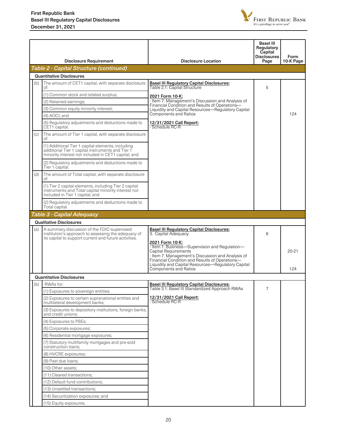

|     | <b>Disclosure Requirement</b>                                                                                                                                | <b>Disclosure Location</b>                                                                                                                                                                                                                                                                    | <b>Basel III</b><br>Regulatory<br>Capital<br>Disclosures<br>Page | Form<br>10-K Page |
|-----|--------------------------------------------------------------------------------------------------------------------------------------------------------------|-----------------------------------------------------------------------------------------------------------------------------------------------------------------------------------------------------------------------------------------------------------------------------------------------|------------------------------------------------------------------|-------------------|
|     | <b>Table 2 - Capital Structure (continued)</b>                                                                                                               |                                                                                                                                                                                                                                                                                               |                                                                  |                   |
|     | <b>Quantitative Disclosures</b>                                                                                                                              |                                                                                                                                                                                                                                                                                               |                                                                  |                   |
| (b) | The amount of CET1 capital, with separate disclosure                                                                                                         | <b>Basel III Regulatory Capital Disclosures:</b>                                                                                                                                                                                                                                              |                                                                  |                   |
|     | ot:                                                                                                                                                          | Table 2.1: Capital Structure                                                                                                                                                                                                                                                                  | 5                                                                |                   |
|     | (1) Common stock and related surplus;                                                                                                                        | 2021 Form 10-K:                                                                                                                                                                                                                                                                               |                                                                  |                   |
|     | (2) Retained earnings;                                                                                                                                       | - Item 7. Management's Discussion and Analysis of<br>Financial Condition and Results of Operations-                                                                                                                                                                                           |                                                                  |                   |
|     | (3) Common equity minority interest;                                                                                                                         | Liquidity and Capital Resources-Regulatory Capital                                                                                                                                                                                                                                            |                                                                  |                   |
|     | $(4)$ AOCI; and                                                                                                                                              | <b>Components and Ratios</b>                                                                                                                                                                                                                                                                  |                                                                  | 124               |
|     | (5) Regulatory adjustments and deductions made to<br>CET1 capital.                                                                                           | 12/31/2021 Call Report:<br>- Schedule RC-R                                                                                                                                                                                                                                                    |                                                                  |                   |
| (c) | The amount of Tier 1 capital, with separate disclosure<br>of:                                                                                                |                                                                                                                                                                                                                                                                                               |                                                                  |                   |
|     | (1) Additional Tier 1 capital elements, including<br>additional Tier 1 capital instruments and Tier 1<br>minority interest not included in CET1 capital; and |                                                                                                                                                                                                                                                                                               |                                                                  |                   |
|     | (2) Regulatory adjustments and deductions made to<br>Tier 1 capital.                                                                                         |                                                                                                                                                                                                                                                                                               |                                                                  |                   |
| (d) | The amount of Total capital, with separate disclosure<br>of:                                                                                                 |                                                                                                                                                                                                                                                                                               |                                                                  |                   |
|     | (1) Tier 2 capital elements, including Tier 2 capital<br>instruments and Total capital minority interest not<br>included in Tier 1 capital; and              |                                                                                                                                                                                                                                                                                               |                                                                  |                   |
|     | (2) Regulatory adjustments and deductions made to<br>Total capital.                                                                                          |                                                                                                                                                                                                                                                                                               |                                                                  |                   |
|     | Table 3 - Capital Adequacy                                                                                                                                   |                                                                                                                                                                                                                                                                                               |                                                                  |                   |
|     | <b>Qualitative Disclosures</b>                                                                                                                               |                                                                                                                                                                                                                                                                                               |                                                                  |                   |
| (a) | A summary discussion of the FDIC-supervised<br>institution's approach to assessing the adequacy of<br>its capital to support current and future activities.  | <b>Basel III Regulatory Capital Disclosures:</b><br>3. Capital Adequacy                                                                                                                                                                                                                       | 6                                                                |                   |
|     |                                                                                                                                                              | 2021 Form 10-K:<br>- Item 1. Business-Supervision and Regulation-<br><b>Capital Requirements</b><br>- Item 7. Management's Discussion and Analysis of<br>Financial Condition and Results of Operations-<br>Liquidity and Capital Resources-Regulatory Capital<br><b>Components and Ratios</b> |                                                                  | $20 - 21$<br>124  |
|     | <b>Quantitative Disclosures</b>                                                                                                                              |                                                                                                                                                                                                                                                                                               |                                                                  |                   |
| (b) | RWAs for:                                                                                                                                                    | <b>Basel III Regulatory Capital Disclosures:</b>                                                                                                                                                                                                                                              |                                                                  |                   |
|     | (1) Exposures to sovereign entities;                                                                                                                         | Table 3.1: Basel III Standardized Approach RWAs                                                                                                                                                                                                                                               | $\overline{7}$                                                   |                   |
|     | (2) Exposures to certain supranational entities and<br>multilateral development banks;                                                                       | 12/31/2021 Call Report:<br>- Schedule RC-R                                                                                                                                                                                                                                                    |                                                                  |                   |
|     | (3) Exposures to depository institutions, foreign banks,<br>and credit unions;                                                                               |                                                                                                                                                                                                                                                                                               |                                                                  |                   |
|     | (4) Exposures to PSEs;                                                                                                                                       |                                                                                                                                                                                                                                                                                               |                                                                  |                   |
|     | (5) Corporate exposures;                                                                                                                                     |                                                                                                                                                                                                                                                                                               |                                                                  |                   |
|     | (6) Residential mortgage exposures;                                                                                                                          |                                                                                                                                                                                                                                                                                               |                                                                  |                   |
|     | (7) Statutory multifamily mortgages and pre-sold<br>construction loans:                                                                                      |                                                                                                                                                                                                                                                                                               |                                                                  |                   |
|     | (8) HVCRE exposures;                                                                                                                                         |                                                                                                                                                                                                                                                                                               |                                                                  |                   |
|     | (9) Past due loans;                                                                                                                                          |                                                                                                                                                                                                                                                                                               |                                                                  |                   |
|     | (10) Other assets;                                                                                                                                           |                                                                                                                                                                                                                                                                                               |                                                                  |                   |
|     | (11) Cleared transactions;                                                                                                                                   |                                                                                                                                                                                                                                                                                               |                                                                  |                   |
|     | (12) Default fund contributions;                                                                                                                             |                                                                                                                                                                                                                                                                                               |                                                                  |                   |
|     | (13) Unsettled transactions;                                                                                                                                 |                                                                                                                                                                                                                                                                                               |                                                                  |                   |
|     | (14) Securitization exposures; and                                                                                                                           |                                                                                                                                                                                                                                                                                               |                                                                  |                   |
|     | (15) Equity exposures.                                                                                                                                       |                                                                                                                                                                                                                                                                                               |                                                                  |                   |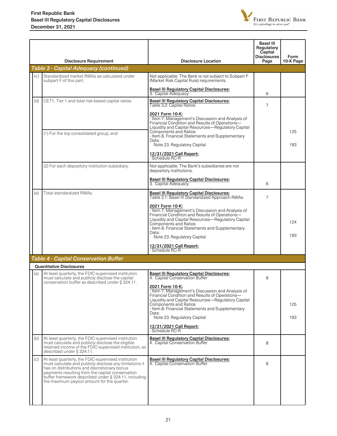

|     | <b>Disclosure Requirement</b>                                                                                                                                                                                                                                                                                            | <b>Disclosure Location</b>                                                                                                                                                                                                                                                                               | Basel III<br>Regulatory<br>Capital<br><b>Disclosures</b><br>Page | <b>Form</b><br>10-K Page |
|-----|--------------------------------------------------------------------------------------------------------------------------------------------------------------------------------------------------------------------------------------------------------------------------------------------------------------------------|----------------------------------------------------------------------------------------------------------------------------------------------------------------------------------------------------------------------------------------------------------------------------------------------------------|------------------------------------------------------------------|--------------------------|
|     | Table 3 - Capital Adequacy (continued)                                                                                                                                                                                                                                                                                   |                                                                                                                                                                                                                                                                                                          |                                                                  |                          |
| (c) | Standardized market RWAs as calculated under<br>subpart F of this part.                                                                                                                                                                                                                                                  | Not applicable. The Bank is not subject to Subpart F<br>(Market Risk Capital Rule) requirements.                                                                                                                                                                                                         |                                                                  |                          |
|     |                                                                                                                                                                                                                                                                                                                          | <b>Basel III Regulatory Capital Disclosures:</b><br>3. Capital Adequacy                                                                                                                                                                                                                                  | 6                                                                |                          |
| (d) | CET1, Tier 1 and total risk-based capital ratios:                                                                                                                                                                                                                                                                        | <b>Basel III Regulatory Capital Disclosures:</b><br>Table 3.2: Capital Ratios                                                                                                                                                                                                                            | 7                                                                |                          |
|     | (1) For the top consolidated group; and                                                                                                                                                                                                                                                                                  | 2021 Form 10-K:<br>- Item 7. Management's Discussion and Analysis of<br>Financial Condition and Results of Operations-<br>Liquidity and Capital Resources-Regulatory Capital<br>Components and Ratios<br>- Item 8. Financial Statements and Supplementary<br>Data:<br>Note 23. Regulatory Capital        |                                                                  | 125<br>193               |
|     |                                                                                                                                                                                                                                                                                                                          | 12/31/2021 Call Report:<br>- Schedule RC-R                                                                                                                                                                                                                                                               |                                                                  |                          |
|     | (2) For each depository institution subsidiary.                                                                                                                                                                                                                                                                          | Not applicable. The Bank's subsidiaries are not<br>depository institutions.                                                                                                                                                                                                                              |                                                                  |                          |
|     |                                                                                                                                                                                                                                                                                                                          | <b>Basel III Regulatory Capital Disclosures:</b><br>3. Capital Adequacy                                                                                                                                                                                                                                  | 6                                                                |                          |
| (e) | Total standardized RWAs.                                                                                                                                                                                                                                                                                                 | <b>Basel III Regulatory Capital Disclosures:</b><br>Table 3.1: Basel III Standardized Approach RWAs                                                                                                                                                                                                      | 7                                                                |                          |
|     |                                                                                                                                                                                                                                                                                                                          | 2021 Form 10-K:<br>- Item 7. Management's Discussion and Analysis of<br>Financial Condition and Results of Operations-<br>Liquidity and Capital Resources-Regulatory Capital<br><b>Components and Ratios</b><br>- Item 8. Financial Statements and Supplementary<br>Data:<br>Note 23. Regulatory Capital |                                                                  | 124<br>193               |
|     |                                                                                                                                                                                                                                                                                                                          | 12/31/2021 Call Report:<br>- Schedule RC-R                                                                                                                                                                                                                                                               |                                                                  |                          |
|     | <b>Table 4 - Capital Conservation Buffer</b>                                                                                                                                                                                                                                                                             |                                                                                                                                                                                                                                                                                                          |                                                                  |                          |
|     | <b>Quantitative Disclosures</b>                                                                                                                                                                                                                                                                                          |                                                                                                                                                                                                                                                                                                          |                                                                  |                          |
| (a) | At least quarterly, the FDIC-supervised institution<br>must calculate and publicly disclose the capital<br>conservation buffer as described under § 324.11.                                                                                                                                                              | <b>Basel III Regulatory Capital Disclosures:</b><br>4. Capital Conservation Buffer<br>2021 Form 10-K:                                                                                                                                                                                                    | 8                                                                |                          |
|     |                                                                                                                                                                                                                                                                                                                          | - Item 7. Management's Discussion and Analysis of<br>Financial Condition and Results of Operations-<br>Liquidity and Capital Resources-Regulatory Capital<br><b>Components and Ratios</b><br>- Item 8. Financial Statements and Supplementary                                                            |                                                                  | 125                      |
|     |                                                                                                                                                                                                                                                                                                                          | Data:<br>Note 23. Regulatory Capital                                                                                                                                                                                                                                                                     |                                                                  | 193                      |
|     |                                                                                                                                                                                                                                                                                                                          | 12/31/2021 Call Report:<br>- Schedule RC-R                                                                                                                                                                                                                                                               |                                                                  |                          |
| (b) | At least quarterly, the FDIC-supervised institution<br>must calculate and publicly disclose the eligible<br>retained income of the FDIC-supervised institution, as<br>described under § 324.11.                                                                                                                          | <b>Basel III Regulatory Capital Disclosures:</b><br>4. Capital Conservation Buffer                                                                                                                                                                                                                       | 8                                                                |                          |
| (c) | At least quarterly, the FDIC-supervised institution<br>must calculate and publicly disclose any limitations it<br>has on distributions and discretionary bonus<br>payments resulting from the capital conservation<br>buffer framework described under § 324.11, including<br>the maximum payout amount for the quarter. | <b>Basel III Regulatory Capital Disclosures:</b><br>4. Capital Conservation Buffer                                                                                                                                                                                                                       | 8                                                                |                          |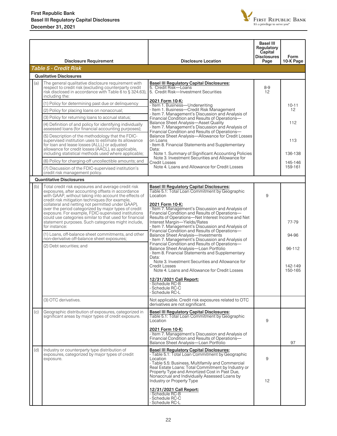

|  |     | <b>Disclosure Requirement</b>                                                                                                                                                                                                                                                                                                     | <b>Disclosure Location</b>                                                                                                                                                                                                                                                                                                    | <b>Basel III</b><br>Regulatory<br>Capital<br><b>Disclosures</b><br>Page | <b>Form</b><br>10-K Page     |
|--|-----|-----------------------------------------------------------------------------------------------------------------------------------------------------------------------------------------------------------------------------------------------------------------------------------------------------------------------------------|-------------------------------------------------------------------------------------------------------------------------------------------------------------------------------------------------------------------------------------------------------------------------------------------------------------------------------|-------------------------------------------------------------------------|------------------------------|
|  |     | <b>Table 5 - Credit Risk</b>                                                                                                                                                                                                                                                                                                      |                                                                                                                                                                                                                                                                                                                               |                                                                         |                              |
|  |     | <b>Qualitative Disclosures</b>                                                                                                                                                                                                                                                                                                    |                                                                                                                                                                                                                                                                                                                               |                                                                         |                              |
|  | (a) | The general qualitative disclosure requirement with<br>respect to credit risk (excluding counterparty credit<br>risk disclosed in accordance with Table 6 to § 324.63),<br>including the:<br>(1) Policy for determining past due or delinguency                                                                                   | <b>Basel III Regulatory Capital Disclosures:</b><br>5. Credit Risk-Loans<br>5. Credit Risk-Investment Securities<br>2021 Form 10-K:                                                                                                                                                                                           | 8-9<br>12                                                               |                              |
|  |     |                                                                                                                                                                                                                                                                                                                                   | - Item 1. Business-Underwriting<br>- Item 1. Business—Credit Risk Management                                                                                                                                                                                                                                                  |                                                                         | $10 - 11$<br>12 <sup>°</sup> |
|  |     | (2) Policy for placing loans on nonaccrual;<br>(3) Policy for returning loans to accrual status;                                                                                                                                                                                                                                  | - Item 7. Management's Discussion and Analysis of                                                                                                                                                                                                                                                                             |                                                                         |                              |
|  |     | (4) Definition of and policy for identifying individually<br>assessed loans (for financial accounting purposes);                                                                                                                                                                                                                  | Financial Condition and Results of Operations-<br><b>Balance Sheet Analysis-Asset Quality</b><br>- Item 7. Management's Discussion and Analysis of                                                                                                                                                                            |                                                                         | 112                          |
|  |     | (5) Description of the methodology that the FDIC-<br>supervised institution uses to estimate its allowance<br>for loan and lease losses (ALLL) or adjusted<br>allowance for credit losses (AACL), as applicable,<br>including statistical methods used where applicable;                                                          | Financial Condition and Results of Operations-<br>Balance Sheet Analysis-Allowance for Credit Losses<br>on Loans<br>- Item 8. Financial Statements and Supplementary<br>Data:<br>Note 1. Summary of Significant Accounting Policies                                                                                           |                                                                         | 113<br>136-138               |
|  |     | (6) Policy for charging-off uncollectible amounts; and                                                                                                                                                                                                                                                                            | Note 3. Investment Securities and Allowance for<br><b>Credit Losses</b>                                                                                                                                                                                                                                                       |                                                                         | 145-146                      |
|  |     | (7) Discussion of the FDIC-supervised institution's<br>credit risk management policy.                                                                                                                                                                                                                                             | Note 4. Loans and Allowance for Credit Losses                                                                                                                                                                                                                                                                                 |                                                                         | 159-161                      |
|  |     | <b>Quantitative Disclosures</b>                                                                                                                                                                                                                                                                                                   |                                                                                                                                                                                                                                                                                                                               |                                                                         |                              |
|  | (b) | Total credit risk exposures and average credit risk<br>exposures, after accounting offsets in accordance<br>with GAAP, without taking into account the effects of<br>credit risk mitigation techniques (for example,<br>collateral and netting not permitted under GAAP),<br>over the period categorized by major types of credit | <b>Basel III Regulatory Capital Disclosures:</b><br>Table 5.1: Total Loan Commitment by Geographic<br>Location<br>2021 Form 10-K:<br>- Item 7. Management's Discussion and Analysis of                                                                                                                                        | 9                                                                       |                              |
|  |     | exposure. For example, FDIC-supervised institutions<br>could use categories similar to that used for financial<br>statement purposes. Such categories might include,<br>for instance:                                                                                                                                             | Financial Condition and Results of Operations-<br>Results of Operations-Net Interest Income and Net<br>Interest Margin-Yields/Rates<br>- Item 7. Management's Discussion and Analysis of                                                                                                                                      |                                                                         | 77-79                        |
|  |     | (1) Loans, off-balance sheet commitments, and other<br>non-derivative off-balance sheet exposures;                                                                                                                                                                                                                                | Financial Condition and Results of Operations-<br><b>Balance Sheet Analysis-Investments</b><br>- Item 7. Management's Discussion and Analysis of<br>Financial Condition and Results of Operations-<br>Balance Sheet Analysis-Loan Portfolio<br>- Item 8. Financial Statements and Supplementary<br>Data:                      |                                                                         | 94-96                        |
|  |     | (2) Debt securities; and                                                                                                                                                                                                                                                                                                          |                                                                                                                                                                                                                                                                                                                               |                                                                         | 96-112                       |
|  |     |                                                                                                                                                                                                                                                                                                                                   | Note 3. Investment Securities and Allowance for<br>Credit Losses<br>Note 4. Loans and Allowance for Credit Losses                                                                                                                                                                                                             |                                                                         | 142-149<br>150-165           |
|  |     |                                                                                                                                                                                                                                                                                                                                   | 12/31/2021 Call Report:<br>- Schedule RC-B<br>Schedule RC-C<br>- Schedule RC-L                                                                                                                                                                                                                                                |                                                                         |                              |
|  |     | (3) OTC derivatives.                                                                                                                                                                                                                                                                                                              | Not applicable. Credit risk exposures related to OTC<br>derivatives are not significant.                                                                                                                                                                                                                                      |                                                                         |                              |
|  | (c) | Geographic distribution of exposures, categorized in<br>significant areas by major types of credit exposure.                                                                                                                                                                                                                      | <b>Basel III Regulatory Capital Disclosures:</b><br>Table 5.1: Total Loan Commitment by Geographic<br>Location                                                                                                                                                                                                                | 9                                                                       |                              |
|  |     |                                                                                                                                                                                                                                                                                                                                   | 2021 Form 10-K:<br>- Item 7. Management's Discussion and Analysis of<br>Financial Condition and Results of Operations-<br>Balance Sheet Analysis-Loan Portfolio                                                                                                                                                               |                                                                         | 97                           |
|  | (d) | Industry or counterparty type distribution of<br>exposures, categorized by major types of credit<br>exposure.                                                                                                                                                                                                                     | <b>Basel III Regulatory Capital Disclosures:</b><br>- Table 5.1: Total Loan Commitment by Geographic<br>Location<br>- Table 5.5: Business, Multifamily and Commercial<br>Real Estate Loans: Total Commitment by Industry or<br>Property Type and Amortized Cost in Past Due,<br>Nonaccrual and Individually Assessed Loans by | 9                                                                       |                              |
|  |     |                                                                                                                                                                                                                                                                                                                                   | Industry or Property Type<br>12/31/2021 Call Report:<br>- Schedule RC-B<br>- Schedule RC-C<br>- Schedule RC-L                                                                                                                                                                                                                 | 12                                                                      |                              |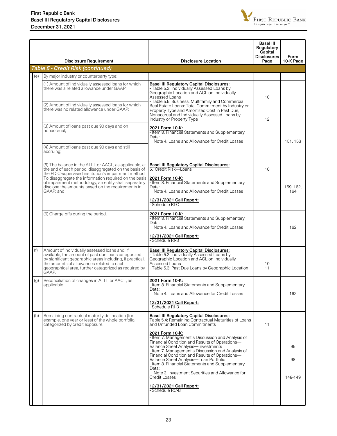

|     | <b>Disclosure Requirement</b>                                                                                                                                                                                                                                                                                                                               | <b>Disclosure Location</b>                                                                                                                                                                                                                                                                                                                                                                                                                                                                                                                                                                                                                             | <b>Basel III</b><br>Regulatory<br>Capital<br><b>Disclosures</b><br>Page | Form<br>10-K Page   |
|-----|-------------------------------------------------------------------------------------------------------------------------------------------------------------------------------------------------------------------------------------------------------------------------------------------------------------------------------------------------------------|--------------------------------------------------------------------------------------------------------------------------------------------------------------------------------------------------------------------------------------------------------------------------------------------------------------------------------------------------------------------------------------------------------------------------------------------------------------------------------------------------------------------------------------------------------------------------------------------------------------------------------------------------------|-------------------------------------------------------------------------|---------------------|
|     | <b>Table 5 - Credit Risk (continued)</b>                                                                                                                                                                                                                                                                                                                    |                                                                                                                                                                                                                                                                                                                                                                                                                                                                                                                                                                                                                                                        |                                                                         |                     |
| (e) | By major industry or counterparty type:                                                                                                                                                                                                                                                                                                                     |                                                                                                                                                                                                                                                                                                                                                                                                                                                                                                                                                                                                                                                        |                                                                         |                     |
|     | (1) Amount of individually assessed loans for which<br>there was a related allowance under GAAP;<br>(2) Amount of individually assessed loans for which<br>there was no related allowance under GAAP;                                                                                                                                                       | <b>Basel III Regulatory Capital Disclosures:</b><br>- Table 5.2: Individually Assessed Loans by<br>Geographic Location and ACL on Individually<br>Assessed Loans<br>- Table 5.5: Business, Multifamily and Commercial<br>Real Estate Loans: Total Commitment by Industry or<br>Property Type and Amortized Cost in Past Due,                                                                                                                                                                                                                                                                                                                           | 10                                                                      |                     |
|     | (3) Amount of loans past due 90 days and on<br>nonaccrual;                                                                                                                                                                                                                                                                                                  | Nonaccrual and Individually Assessed Loans by<br>Industry or Property Type<br>2021 Form 10-K:<br>- Item 8. Financial Statements and Supplementary<br>Data:                                                                                                                                                                                                                                                                                                                                                                                                                                                                                             | 12                                                                      |                     |
|     | (4) Amount of loans past due 90 days and still<br>accruing;                                                                                                                                                                                                                                                                                                 | Note 4. Loans and Allowance for Credit Losses                                                                                                                                                                                                                                                                                                                                                                                                                                                                                                                                                                                                          |                                                                         | 151, 153            |
|     | (5) The balance in the ALLL or AACL, as applicable, at<br>the end of each period, disaggregated on the basis of<br>the FDIC-supervised institution's impairment method.<br>To disaggregate the information required on the basis<br>of impairment methodology, an entity shall separately<br>disclose the amounts based on the requirements in<br>GAAP; and | <b>Basel III Regulatory Capital Disclosures:</b><br>5. Credit Risk-Loans<br>2021 Form 10-K:<br>- Item 8. Financial Statements and Supplementary<br>Data:<br>Note 4. Loans and Allowance for Credit Losses<br>12/31/2021 Call Report:<br>- Schedule RI-C                                                                                                                                                                                                                                                                                                                                                                                                | 10                                                                      | 159, 162,<br>164    |
|     | (6) Charge-offs during the period.                                                                                                                                                                                                                                                                                                                          | 2021 Form 10-K:<br>- Item 8. Financial Statements and Supplementary<br>Data:<br>Note 4. Loans and Allowance for Credit Losses<br>12/31/2021 Call Report:<br>- Schedule RI-B                                                                                                                                                                                                                                                                                                                                                                                                                                                                            |                                                                         | 162                 |
| (f) | Amount of individually assessed loans and, if<br>available, the amount of past due loans categorized<br>by significant geographic areas including, if practical,<br>the amounts of allowances related to each<br>geographical area, further categorized as required by<br>ĞAĂP.                                                                             | <b>Basel III Regulatory Capital Disclosures:</b><br>- Table 5.2: Individually Assessed Loans by<br>Geographic Location and ACL on Individually<br>Assessed Loans<br>- Table 5.3: Past Due Loans by Geographic Location                                                                                                                                                                                                                                                                                                                                                                                                                                 | 10<br>11                                                                |                     |
| (g) | Reconciliation of changes in ALLL or AACL, as<br>applicable.                                                                                                                                                                                                                                                                                                | 2021 Form 10-K:<br>- Item 8. Financial Statements and Supplementary<br>Data:<br>Note 4. Loans and Allowance for Credit Losses<br>12/31/2021 Call Report:<br>- Schedule RI-B                                                                                                                                                                                                                                                                                                                                                                                                                                                                            |                                                                         | 162                 |
| (h) | Remaining contractual maturity delineation (for<br>example, one year or less) of the whole portfolio,<br>categorized by credit exposure.                                                                                                                                                                                                                    | <b>Basel III Regulatory Capital Disclosures:</b><br>Table 5.4: Remaining Contractual Maturities of Loans<br>and Unfunded Loan Commitments<br>2021 Form 10-K:<br>- Item 7. Management's Discussion and Analysis of<br>Financial Condition and Results of Operations-<br><b>Balance Sheet Analysis-Investments</b><br>Filtem 7. Management's Discussion and Analysis of<br>Financial Condition and Results of Operations—<br>Balance Sheet Analysis-Loan Portfolio<br>- Item 8. Financial Statements and Supplementary<br>Data:<br>Note 3. Investment Securities and Allowance for<br><b>Credit Losses</b><br>12/31/2021 Call Report:<br>- Schedule RC-B | 11                                                                      | 95<br>98<br>148-149 |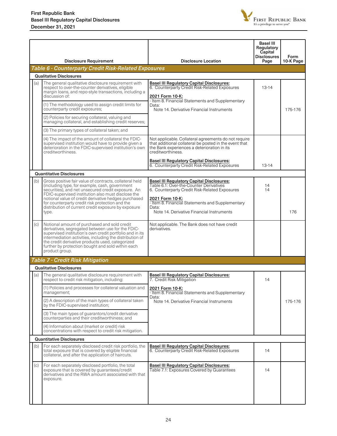

|     | <b>Disclosure Requirement</b>                                                                                                                                                                                                                                                                                                                                                                    | <b>Disclosure Location</b>                                                                                                                                                                                                                                                | <b>Basel III</b><br>Regulatory<br>Capital<br><b>Disclosures</b><br>Page | Form<br>10-K Page |
|-----|--------------------------------------------------------------------------------------------------------------------------------------------------------------------------------------------------------------------------------------------------------------------------------------------------------------------------------------------------------------------------------------------------|---------------------------------------------------------------------------------------------------------------------------------------------------------------------------------------------------------------------------------------------------------------------------|-------------------------------------------------------------------------|-------------------|
|     | Table 6 - Counterparty Credit Risk-Related Exposures                                                                                                                                                                                                                                                                                                                                             |                                                                                                                                                                                                                                                                           |                                                                         |                   |
|     | <b>Qualitative Disclosures</b>                                                                                                                                                                                                                                                                                                                                                                   |                                                                                                                                                                                                                                                                           |                                                                         |                   |
| (a) | The general qualitative disclosure requirement with<br>respect to over-the-counter derivatives, eligible<br>margin loans, and repo-style transactions, including a<br>discussion of:                                                                                                                                                                                                             | <b>Basel III Regulatory Capital Disclosures:</b><br>6. Counterparty Credit Risk-Related Exposures<br>2021 Form 10-K:                                                                                                                                                      | $13 - 14$                                                               |                   |
|     | (1) The methodology used to assign credit limits for<br>counterparty credit exposures;                                                                                                                                                                                                                                                                                                           | - Item 8. Financial Statements and Supplementary<br>Data:<br>Note 14, Derivative Financial Instruments                                                                                                                                                                    |                                                                         | 175-176           |
|     | (2) Policies for securing collateral, valuing and<br>managing collateral, and establishing credit reserves;                                                                                                                                                                                                                                                                                      |                                                                                                                                                                                                                                                                           |                                                                         |                   |
|     | (3) The primary types of collateral taken; and                                                                                                                                                                                                                                                                                                                                                   |                                                                                                                                                                                                                                                                           |                                                                         |                   |
|     | (4) The impact of the amount of collateral the FDIC-<br>supervised institution would have to provide given a<br>deterioration in the FDIC-supervised institution's own<br>creditworthiness.                                                                                                                                                                                                      | Not applicable. Collateral agreements do not require<br>that additional collateral be posted in the event that<br>the Bank experiences a deterioration in its<br>creditworthiness.                                                                                        |                                                                         |                   |
|     |                                                                                                                                                                                                                                                                                                                                                                                                  | <b>Basel III Regulatory Capital Disclosures:</b><br>6. Counterparty Credit Risk-Related Exposures                                                                                                                                                                         | $13 - 14$                                                               |                   |
|     | <b>Quantitative Disclosures</b>                                                                                                                                                                                                                                                                                                                                                                  |                                                                                                                                                                                                                                                                           |                                                                         |                   |
| (b) | Gross positive fair value of contracts, collateral held<br>(including type, for example, cash, government<br>securities), and net unsecured credit exposure. An<br>FDIC-supervised institution also must disclose the<br>notional value of credit derivative hedges purchased<br>for counterparty credit risk protection and the<br>distribution of current credit exposure by exposure<br>type. | <b>Basel III Regulatory Capital Disclosures:</b><br>Table 6.1: Over-the-Counter Derivatives<br>6. Counterparty Credit Risk-Related Exposures<br>2021 Form 10-K:<br>- Item 8. Financial Statements and Supplementary<br>Data:<br>Note 14. Derivative Financial Instruments | 14<br>14                                                                | 176               |
| (c) | Notional amount of purchased and sold credit<br>derivatives, segregated between use for the FDIC-<br>supervised institution's own credit portfolio and in its<br>intermediation activities, including the distribution of<br>the credit derivative products used, categorized<br>further by protection bought and sold within each<br>product group.                                             | Not applicable. The Bank does not have credit<br>derivatives.                                                                                                                                                                                                             |                                                                         |                   |
|     | <b>Table 7 - Credit Risk Mitigation</b>                                                                                                                                                                                                                                                                                                                                                          |                                                                                                                                                                                                                                                                           |                                                                         |                   |
|     | <b>Qualitative Disclosures</b>                                                                                                                                                                                                                                                                                                                                                                   |                                                                                                                                                                                                                                                                           |                                                                         |                   |
| (a) | The general qualitative disclosure requirement with<br>respect to credit risk mitigation, including:                                                                                                                                                                                                                                                                                             | <b>Basel III Regulatory Capital Disclosures:</b><br>7. Credit Risk Mitigation                                                                                                                                                                                             | 14                                                                      |                   |
|     | (1) Policies and processes for collateral valuation and<br>management;                                                                                                                                                                                                                                                                                                                           | 2021 Form 10-K:<br>- Item 8. Financial Statements and Supplementary<br>Data:                                                                                                                                                                                              |                                                                         |                   |
|     | (2) A description of the main types of collateral taken<br>by the FDIC-supervised institution;                                                                                                                                                                                                                                                                                                   | Note 14. Derivative Financial Instruments                                                                                                                                                                                                                                 |                                                                         | 175-176           |
|     | (3) The main types of guarantors/credit derivative<br>counterparties and their creditworthiness: and                                                                                                                                                                                                                                                                                             |                                                                                                                                                                                                                                                                           |                                                                         |                   |
|     | (4) Information about (market or credit) risk<br>concentrations with respect to credit risk mitigation.                                                                                                                                                                                                                                                                                          |                                                                                                                                                                                                                                                                           |                                                                         |                   |
|     | <b>Quantitative Disclosures</b>                                                                                                                                                                                                                                                                                                                                                                  |                                                                                                                                                                                                                                                                           |                                                                         |                   |
| (b) | For each separately disclosed credit risk portfolio, the<br>total exposure that is covered by eligible financial<br>collateral, and after the application of haircuts.                                                                                                                                                                                                                           | <b>Basel III Regulatory Capital Disclosures:</b><br>6. Counterparty Credit Risk-Related Exposures                                                                                                                                                                         | 14                                                                      |                   |
| (c) | For each separately disclosed portfolio, the total<br>exposure that is covered by guarantees/credit<br>derivatives and the RWA amount associated with that<br>exposure.                                                                                                                                                                                                                          | <b>Basel III Regulatory Capital Disclosures:</b><br>Table 7.1: Exposures Covered by Guarantees                                                                                                                                                                            | 14                                                                      |                   |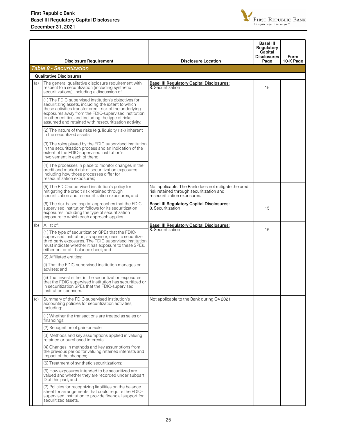

|     | <b>Disclosure Requirement</b>                                                                                                                                                                                                                                                                                                             | <b>Disclosure Location</b>                                                                                                       | <b>Basel III</b><br>Regulatory<br>Capital<br><b>Disclosures</b><br>Page | Form<br>10-K Page |
|-----|-------------------------------------------------------------------------------------------------------------------------------------------------------------------------------------------------------------------------------------------------------------------------------------------------------------------------------------------|----------------------------------------------------------------------------------------------------------------------------------|-------------------------------------------------------------------------|-------------------|
|     | <b>Table 8 - Securitization</b>                                                                                                                                                                                                                                                                                                           |                                                                                                                                  |                                                                         |                   |
|     | <b>Qualitative Disclosures</b>                                                                                                                                                                                                                                                                                                            |                                                                                                                                  |                                                                         |                   |
| (a) | The general qualitative disclosure requirement with<br>respect to a securitization (including synthetic<br>securitizations), including a discussion of:                                                                                                                                                                                   | <b>Basel III Regulatory Capital Disclosures:</b><br>8. Securitization                                                            | 15                                                                      |                   |
|     | (1) The FDIC-supervised institution's objectives for<br>securitizing assets, including the extent to which<br>these activities transfer credit risk of the underlying<br>exposures away from the FDIC-supervised institution<br>to other entities and including the type of risks<br>assumed and retained with resecuritization activity; |                                                                                                                                  |                                                                         |                   |
|     | (2) The nature of the risks (e.g. liquidity risk) inherent<br>in the securitized assets;                                                                                                                                                                                                                                                  |                                                                                                                                  |                                                                         |                   |
|     | (3) The roles played by the FDIC-supervised institution<br>in the securitization process and an indication of the<br>extent of the FDIC-supervised institution's<br>involvement in each of them;                                                                                                                                          |                                                                                                                                  |                                                                         |                   |
|     | (4) The processes in place to monitor changes in the<br>credit and market risk of securitization exposures<br>including how those processes differ for<br>resecuritization exposures;                                                                                                                                                     |                                                                                                                                  |                                                                         |                   |
|     | (5) The FDIC-supervised institution's policy for<br>mitigating the credit risk retained through<br>securitization and resecuritization exposures; and                                                                                                                                                                                     | Not applicable. The Bank does not mitigate the credit<br>risk retained through securitization and<br>resecuritization exposures. |                                                                         |                   |
|     | (6) The risk-based capital approaches that the FDIC-<br>supervised institution follows for its securitization<br>exposures including the type of securitization<br>exposure to which each approach applies.                                                                                                                               | <b>Basel III Regulatory Capital Disclosures:</b><br>8. Securitization                                                            | 15                                                                      |                   |
| (b) | A list of:                                                                                                                                                                                                                                                                                                                                | <b>Basel III Regulatory Capital Disclosures:</b>                                                                                 |                                                                         |                   |
|     | (1) The type of securitization SPEs that the FDIC-<br>supervised institution, as sponsor, uses to securitize<br>third-party exposures. The FDIC-supervised institution<br>must indicate whether it has exposure to these SPEs,<br>either on- or off- balance sheet; and                                                                   | 8. Securitization                                                                                                                | 15                                                                      |                   |
|     | (2) Affiliated entities:                                                                                                                                                                                                                                                                                                                  |                                                                                                                                  |                                                                         |                   |
|     | (i) That the FDIC-supervised institution manages or<br>advises; and                                                                                                                                                                                                                                                                       |                                                                                                                                  |                                                                         |                   |
|     | (ii) That invest either in the securitization exposures<br>that the FDIC-supervised institution has securitized or<br>in securitization SPEs that the FDIC-supervised<br>institution sponsors.                                                                                                                                            |                                                                                                                                  |                                                                         |                   |
| (c) | Summary of the FDIC-supervised institution's<br>accounting policies for securitization activities,<br>including:                                                                                                                                                                                                                          | Not applicable to the Bank during Q4 2021.                                                                                       |                                                                         |                   |
|     | (1) Whether the transactions are treated as sales or<br>financings;                                                                                                                                                                                                                                                                       |                                                                                                                                  |                                                                         |                   |
|     | (2) Recognition of gain-on-sale;                                                                                                                                                                                                                                                                                                          |                                                                                                                                  |                                                                         |                   |
|     | (3) Methods and key assumptions applied in valuing<br>retained or purchased interests;                                                                                                                                                                                                                                                    |                                                                                                                                  |                                                                         |                   |
|     | (4) Changes in methods and key assumptions from<br>the previous period for valuing retained interests and<br>impact of the changes;                                                                                                                                                                                                       |                                                                                                                                  |                                                                         |                   |
|     | (5) Treatment of synthetic securitizations;                                                                                                                                                                                                                                                                                               |                                                                                                                                  |                                                                         |                   |
|     | (6) How exposures intended to be securitized are<br>valued and whether they are recorded under subpart<br>D of this part; and                                                                                                                                                                                                             |                                                                                                                                  |                                                                         |                   |
|     | (7) Policies for recognizing liabilities on the balance<br>sheet for arrangements that could require the FDIC-<br>supervised institution to provide financial support for<br>securitized assets.                                                                                                                                          |                                                                                                                                  |                                                                         |                   |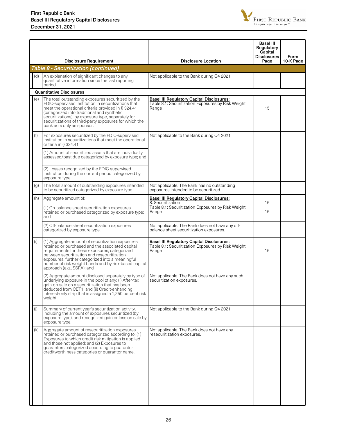

|     | <b>Disclosure Requirement</b>                                                                                                                                                                                                                                                                                                                                       | <b>Disclosure Location</b>                                                                                      | <b>Basel III</b><br>Regulatory<br>Capital<br><b>Disclosures</b><br>Page | Form<br>10-K Page |
|-----|---------------------------------------------------------------------------------------------------------------------------------------------------------------------------------------------------------------------------------------------------------------------------------------------------------------------------------------------------------------------|-----------------------------------------------------------------------------------------------------------------|-------------------------------------------------------------------------|-------------------|
|     | Table 8 - Securitization (continued)                                                                                                                                                                                                                                                                                                                                |                                                                                                                 |                                                                         |                   |
|     | (d)<br>An explanation of significant changes to any<br>quantitative information since the last reporting<br>period.                                                                                                                                                                                                                                                 | Not applicable to the Bank during Q4 2021.                                                                      |                                                                         |                   |
|     | <b>Quantitative Disclosures</b>                                                                                                                                                                                                                                                                                                                                     |                                                                                                                 |                                                                         |                   |
|     | (e)<br>The total outstanding exposures securitized by the<br>FDIC-supervised institution in securitizations that<br>meet the operational criteria provided in § 324.41<br>(categorized into traditional and synthetic<br>securitizations), by exposure type, separately for<br>securitizations of third-party exposures for which the<br>bank acts only as sponsor. | <b>Basel III Regulatory Capital Disclosures:</b><br>Table 8.1: Securitization Exposures by Risk Weight<br>Range | 15                                                                      |                   |
| (f) | For exposures securitized by the FDIC-supervised<br>institution in securitizations that meet the operational<br>criteria in § 324.41:                                                                                                                                                                                                                               | Not applicable to the Bank during Q4 2021.                                                                      |                                                                         |                   |
|     | (1) Amount of securitized assets that are individually<br>assessed/past due categorized by exposure type; and                                                                                                                                                                                                                                                       |                                                                                                                 |                                                                         |                   |
|     | (2) Losses recognized by the FDIC-supervised<br>institution during the current period categorized by<br>exposure type.                                                                                                                                                                                                                                              |                                                                                                                 |                                                                         |                   |
| (g) | The total amount of outstanding exposures intended<br>to be securitized categorized by exposure type.                                                                                                                                                                                                                                                               | Not applicable. The Bank has no outstanding<br>exposures intended to be securitized.                            |                                                                         |                   |
|     | (h)<br>Aggregate amount of:                                                                                                                                                                                                                                                                                                                                         | <b>Basel III Regulatory Capital Disclosures:</b><br>8. Securitization                                           | 15                                                                      |                   |
|     | (1) On-balance sheet securitization exposures<br>retained or purchased categorized by exposure type;<br>and                                                                                                                                                                                                                                                         | Table 8.1: Securitization Exposures by Risk Weight<br>Range                                                     | 15                                                                      |                   |
|     | (2) Off-balance sheet securitization exposures<br>categorized by exposure type.                                                                                                                                                                                                                                                                                     | Not applicable. The Bank does not have any off-<br>balance sheet securitization exposures.                      |                                                                         |                   |
| (i) | (1) Aggregate amount of securitization exposures<br>retained or purchased and the associated capital<br>requirements for these exposures, categorized<br>between securitization and resecuritization<br>exposures, further categorized into a meaningful<br>number of risk weight bands and by risk-based capital<br>approach (e.g., SSFA); and                     | <b>Basel III Regulatory Capital Disclosures:</b><br>Table 8.1: Securitization Exposures by Risk Weight<br>Range | 15                                                                      |                   |
|     | (2) Aggregate amount disclosed separately by type of<br>underlying exposure in the pool of any: (i) After-tax<br>gain-on-sale on a securitization that has been<br>deducted from CET1; and (ii) Credit-enhancing<br>interest-only strip that is assigned a 1,250 percent risk<br>weight.                                                                            | Not applicable. The Bank does not have any such<br>securitization exposures.                                    |                                                                         |                   |
| (i) | Summary of current year's securitization activity,<br>including the amount of exposures securitized (by<br>exposure type), and recognized gain or loss on sale by<br>exposure type.                                                                                                                                                                                 | Not applicable to the Bank during Q4 2021.                                                                      |                                                                         |                   |
|     | (k)<br>Aggregate amount of resecuritization exposures<br>retained or purchased categorized according to: (1)<br>Exposures to which credit risk mitigation is applied<br>and those not applied; and (2) Exposures to<br>guarantors categorized according to guarantor<br>creditworthiness categories or guarantor name.                                              | Not applicable. The Bank does not have any<br>resecuritization exposures.                                       |                                                                         |                   |